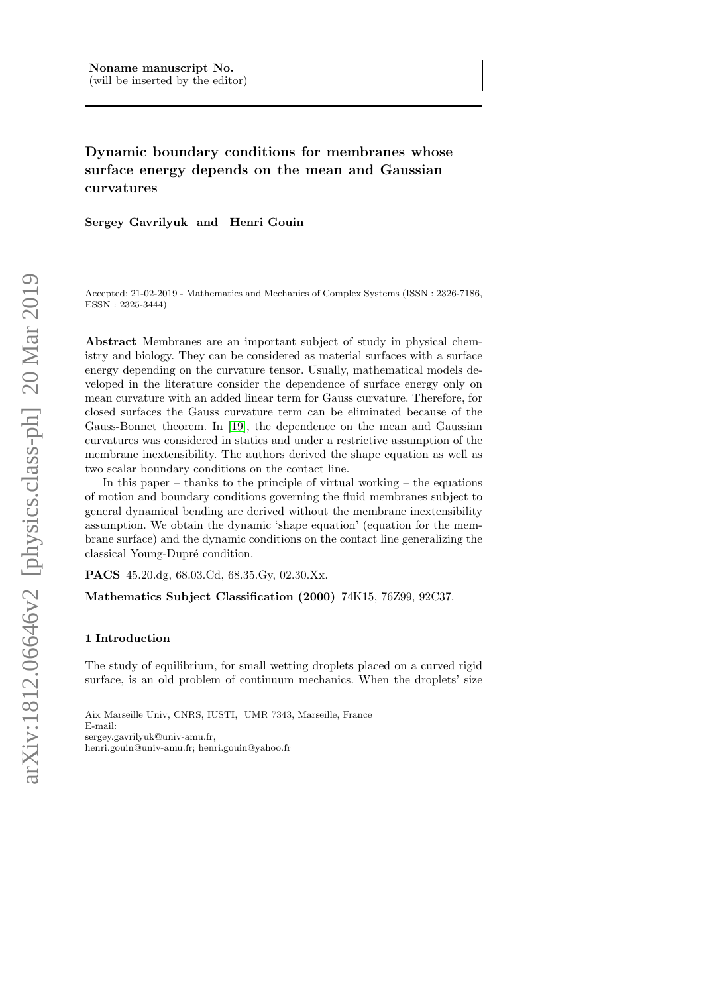# Dynamic boundary conditions for membranes whose surface energy depends on the mean and Gaussian curvatures

Sergey Gavrilyuk and Henri Gouin

Accepted: 21-02-2019 - Mathematics and Mechanics of Complex Systems (ISSN : 2326-7186, ESSN : 2325-3444)

Abstract Membranes are an important subject of study in physical chemistry and biology. They can be considered as material surfaces with a surface energy depending on the curvature tensor. Usually, mathematical models developed in the literature consider the dependence of surface energy only on mean curvature with an added linear term for Gauss curvature. Therefore, for closed surfaces the Gauss curvature term can be eliminated because of the Gauss-Bonnet theorem. In [\[19\]](#page-25-0), the dependence on the mean and Gaussian curvatures was considered in statics and under a restrictive assumption of the membrane inextensibility. The authors derived the shape equation as well as two scalar boundary conditions on the contact line.

In this paper – thanks to the principle of virtual working – the equations of motion and boundary conditions governing the fluid membranes subject to general dynamical bending are derived without the membrane inextensibility assumption. We obtain the dynamic 'shape equation' (equation for the membrane surface) and the dynamic conditions on the contact line generalizing the classical Young-Dupré condition.

PACS 45.20.dg, 68.03.Cd, 68.35.Gy, 02.30.Xx.

Mathematics Subject Classification (2000) 74K15, 76Z99, 92C37.

### 1 Introduction

The study of equilibrium, for small wetting droplets placed on a curved rigid surface, is an old problem of continuum mechanics. When the droplets' size

sergey.gavrilyuk@univ-amu.fr,

henri.gouin@univ-amu.fr; henri.gouin@yahoo.fr

Aix Marseille Univ, CNRS, IUSTI, UMR 7343, Marseille, France E-mail: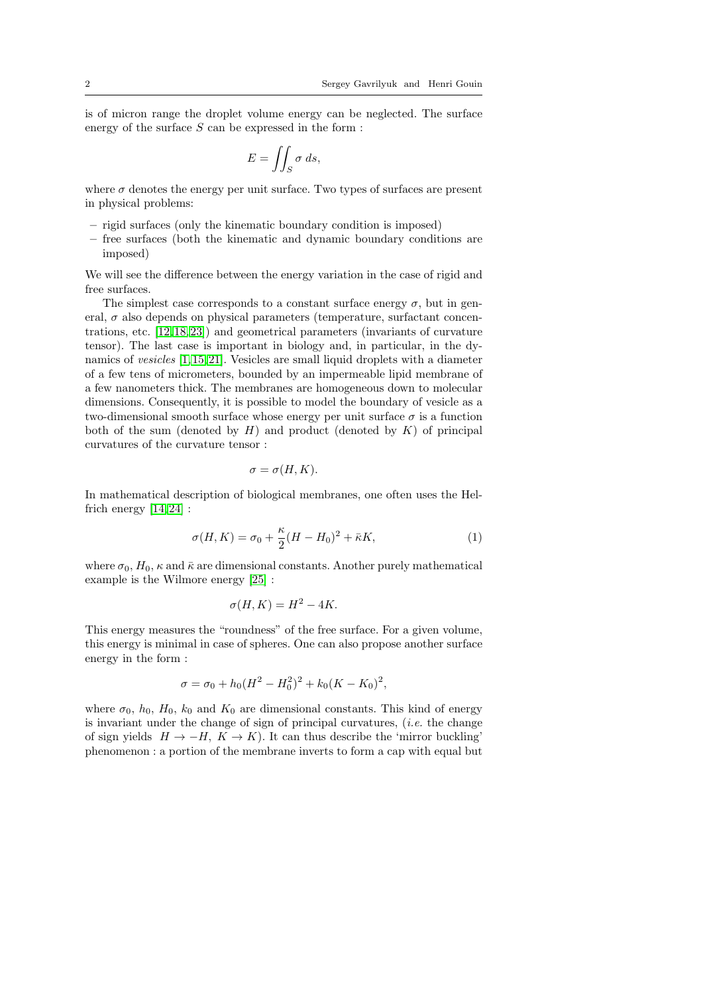is of micron range the droplet volume energy can be neglected. The surface energy of the surface  $S$  can be expressed in the form :

$$
E = \iint_S \sigma \, ds,
$$

where  $\sigma$  denotes the energy per unit surface. Two types of surfaces are present in physical problems:

- rigid surfaces (only the kinematic boundary condition is imposed)
- free surfaces (both the kinematic and dynamic boundary conditions are imposed)

We will see the difference between the energy variation in the case of rigid and free surfaces.

The simplest case corresponds to a constant surface energy  $\sigma$ , but in general,  $\sigma$  also depends on physical parameters (temperature, surfactant concentrations, etc. [\[12,](#page-24-0) [18,](#page-25-1) [23\]](#page-25-2)) and geometrical parameters (invariants of curvature tensor). The last case is important in biology and, in particular, in the dynamics of vesicles [\[1,](#page-24-1) [15,](#page-24-2) [21\]](#page-25-3). Vesicles are small liquid droplets with a diameter of a few tens of micrometers, bounded by an impermeable lipid membrane of a few nanometers thick. The membranes are homogeneous down to molecular dimensions. Consequently, it is possible to model the boundary of vesicle as a two-dimensional smooth surface whose energy per unit surface  $\sigma$  is a function both of the sum (denoted by  $H$ ) and product (denoted by  $K$ ) of principal curvatures of the curvature tensor :

$$
\sigma = \sigma(H, K).
$$

In mathematical description of biological membranes, one often uses the Helfrich energy  $\left\lceil 14,24\right\rceil$  :

<span id="page-1-0"></span>
$$
\sigma(H,K) = \sigma_0 + \frac{\kappa}{2}(H - H_0)^2 + \bar{\kappa}K,\tag{1}
$$

where  $\sigma_0$ ,  $H_0$ ,  $\kappa$  and  $\bar{\kappa}$  are dimensional constants. Another purely mathematical example is the Wilmore energy [\[25\]](#page-25-5) :

$$
\sigma(H, K) = H^2 - 4K.
$$

This energy measures the "roundness" of the free surface. For a given volume, this energy is minimal in case of spheres. One can also propose another surface energy in the form :

$$
\sigma = \sigma_0 + h_0 (H^2 - H_0^2)^2 + k_0 (K - K_0)^2,
$$

where  $\sigma_0$ ,  $h_0$ ,  $H_0$ ,  $k_0$  and  $K_0$  are dimensional constants. This kind of energy is invariant under the change of sign of principal curvatures,  $(i.e.$  the change of sign yields  $H \to -H$ ,  $K \to K$ ). It can thus describe the 'mirror buckling' phenomenon : a portion of the membrane inverts to form a cap with equal but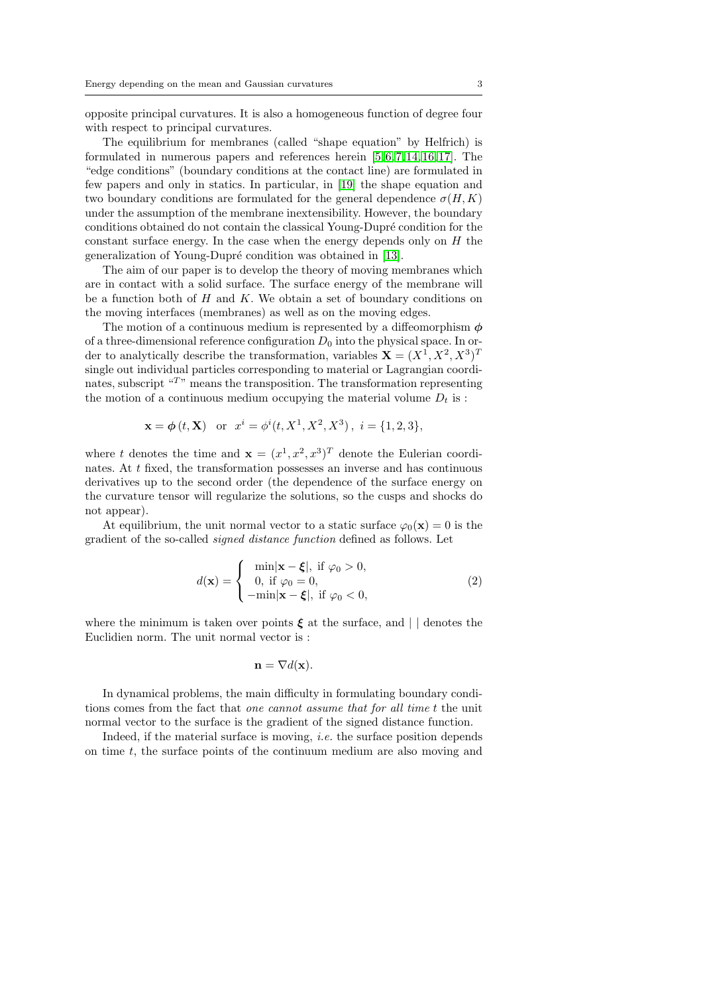opposite principal curvatures. It is also a homogeneous function of degree four with respect to principal curvatures.

The equilibrium for membranes (called "shape equation" by Helfrich) is formulated in numerous papers and references herein  $[5, 6, 7, 14, 16, 17]$  $[5, 6, 7, 14, 16, 17]$  $[5, 6, 7, 14, 16, 17]$  $[5, 6, 7, 14, 16, 17]$  $[5, 6, 7, 14, 16, 17]$  $[5, 6, 7, 14, 16, 17]$ . The "edge conditions" (boundary conditions at the contact line) are formulated in few papers and only in statics. In particular, in [\[19\]](#page-25-0) the shape equation and two boundary conditions are formulated for the general dependence  $\sigma(H, K)$ under the assumption of the membrane inextensibility. However, the boundary conditions obtained do not contain the classical Young-Dupré condition for the constant surface energy. In the case when the energy depends only on  $H$  the generalization of Young-Dupré condition was obtained in [\[13\]](#page-24-7).

The aim of our paper is to develop the theory of moving membranes which are in contact with a solid surface. The surface energy of the membrane will be a function both of  $H$  and  $K$ . We obtain a set of boundary conditions on the moving interfaces (membranes) as well as on the moving edges.

The motion of a continuous medium is represented by a diffeomorphism  $\phi$ of a three-dimensional reference configuration  $D_0$  into the physical space. In order to analytically describe the transformation, variables  $\mathbf{X} = (X^1, X^2, X^3)^T$ single out individual particles corresponding to material or Lagrangian coordinates, subscript  $T$  means the transposition. The transformation representing the motion of a continuous medium occupying the material volume  $D_t$  is :

$$
\mathbf{x} = \phi(t, \mathbf{X})
$$
 or  $x^i = \phi^i(t, X^1, X^2, X^3)$ ,  $i = \{1, 2, 3\}$ ,

where t denotes the time and  $\mathbf{x} = (x^1, x^2, x^3)^T$  denote the Eulerian coordinates. At t fixed, the transformation possesses an inverse and has continuous derivatives up to the second order (the dependence of the surface energy on the curvature tensor will regularize the solutions, so the cusps and shocks do not appear).

At equilibrium, the unit normal vector to a static surface  $\varphi_0(\mathbf{x}) = 0$  is the gradient of the so-called signed distance function defined as follows. Let

$$
d(\mathbf{x}) = \begin{cases} \min|\mathbf{x} - \boldsymbol{\xi}|, \text{ if } \varphi_0 > 0, \\ 0, \text{ if } \varphi_0 = 0, \\ -\min|\mathbf{x} - \boldsymbol{\xi}|, \text{ if } \varphi_0 < 0, \end{cases}
$$
(2)

where the minimum is taken over points  $\xi$  at the surface, and  $\vert \vert$  denotes the Euclidien norm. The unit normal vector is :

$$
\mathbf{n} = \nabla d(\mathbf{x}).
$$

In dynamical problems, the main difficulty in formulating boundary conditions comes from the fact that one cannot assume that for all time t the unit normal vector to the surface is the gradient of the signed distance function.

Indeed, if the material surface is moving, *i.e.* the surface position depends on time  $t$ , the surface points of the continuum medium are also moving and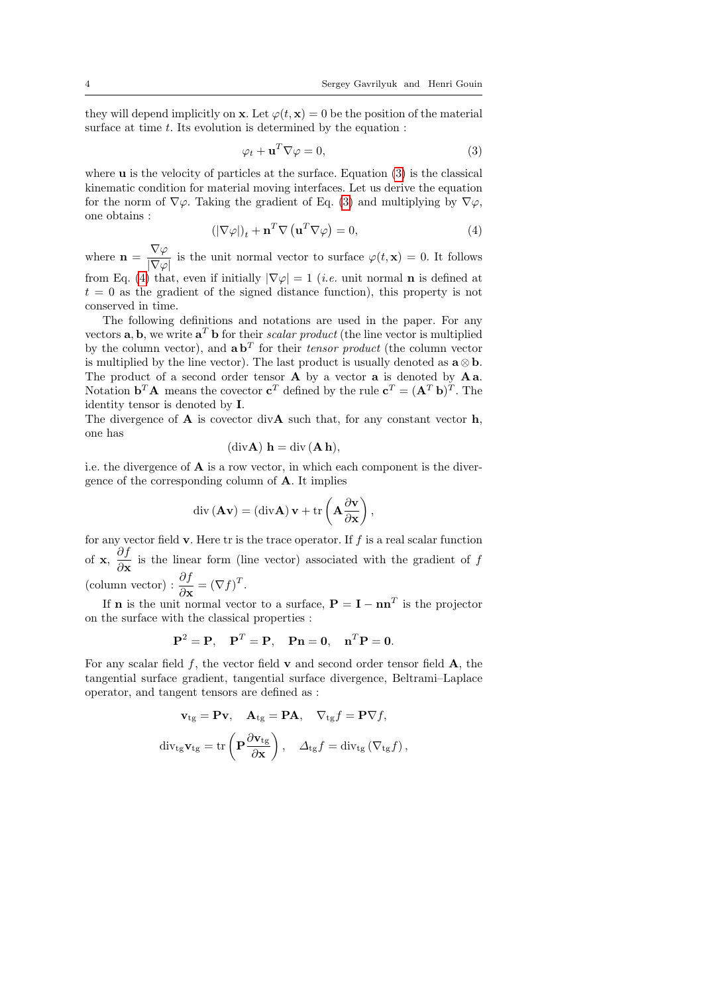they will depend implicitly on **x**. Let  $\varphi(t, \mathbf{x}) = 0$  be the position of the material surface at time  $t$ . Its evolution is determined by the equation :

<span id="page-3-0"></span>
$$
\varphi_t + \mathbf{u}^T \nabla \varphi = 0,\tag{3}
$$

where  $\bf{u}$  is the velocity of particles at the surface. Equation [\(3\)](#page-3-0) is the classical kinematic condition for material moving interfaces. Let us derive the equation for the norm of  $\nabla\varphi$ . Taking the gradient of Eq. [\(3\)](#page-3-0) and multiplying by  $\nabla\varphi$ , one obtains :

<span id="page-3-1"></span>
$$
(|\nabla \varphi|)_t + \mathbf{n}^T \nabla \left(\mathbf{u}^T \nabla \varphi\right) = 0,\tag{4}
$$

,

where  $\mathbf{n} = \frac{\nabla \varphi}{\sqrt{\nabla \varphi}}$  $\frac{\partial \mathbf{V} \cdot \mathbf{P}}{|\nabla \varphi|}$  is the unit normal vector to surface  $\varphi(t, \mathbf{x}) = 0$ . It follows from Eq. [\(4\)](#page-3-1) that, even if initially  $|\nabla \varphi| = 1$  (*i.e.* unit normal **n** is defined at  $t = 0$  as the gradient of the signed distance function), this property is not conserved in time.

The following definitions and notations are used in the paper. For any vectors **a**, **b**, we write  $\mathbf{a}^T \mathbf{b}$  for their scalar product (the line vector is multiplied by the column vector), and  $\mathbf{a} \mathbf{b}^T$  for their tensor product (the column vector is multiplied by the line vector). The last product is usually denoted as  $\mathbf{a} \otimes \mathbf{b}$ . The product of a second order tensor **A** by a vector **a** is denoted by **A** a. Notation  $\mathbf{b}^T \mathbf{A}$  means the covector  $\mathbf{c}^T$  defined by the rule  $\mathbf{c}^T = (\mathbf{A}^T \mathbf{b})^T$ . The identity tensor is denoted by I.

The divergence of  $A$  is covector div $A$  such that, for any constant vector  $h$ , one has

$$
(\mathrm{div}\mathbf{A})\,\,\mathbf{h}=\mathrm{div}\,(\mathbf{A}\,\mathbf{h}),
$$

i.e. the divergence of  $\bf{A}$  is a row vector, in which each component is the divergence of the corresponding column of A. It implies

$$
\operatorname{div}\left(\mathbf{A}\mathbf{v}\right)=\left(\operatorname{div}\mathbf{A}\right)\mathbf{v}+\operatorname{tr}\left(\mathbf{A}\frac{\partial\mathbf{v}}{\partial\mathbf{x}}\right)
$$

for any vector field  $\bf{v}$ . Here tr is the trace operator. If f is a real scalar function of **x**,  $\frac{\partial f}{\partial x}$  $\frac{\partial f}{\partial x}$  is the linear form (line vector) associated with the gradient of f (column vector) :  $\frac{\partial f}{\partial \mathbf{x}} = (\nabla f)^T$ .

If **n** is the unit normal vector to a surface,  $P = I - nn^T$  is the projector on the surface with the classical properties :

$$
\mathbf{P}^2 = \mathbf{P}, \quad \mathbf{P}^T = \mathbf{P}, \quad \mathbf{P}\mathbf{n} = \mathbf{0}, \quad \mathbf{n}^T \mathbf{P} = \mathbf{0}.
$$

For any scalar field  $f$ , the vector field  $\bf{v}$  and second order tensor field  $\bf{A}$ , the tangential surface gradient, tangential surface divergence, Beltrami–Laplace operator, and tangent tensors are defined as :

$$
\mathbf{v}_{\text{tg}} = \mathbf{P}\mathbf{v}, \quad \mathbf{A}_{\text{tg}} = \mathbf{P}\mathbf{A}, \quad \nabla_{\text{tg}}f = \mathbf{P}\nabla f,
$$
  

$$
\operatorname{div}_{\text{tg}} \mathbf{v}_{\text{tg}} = \operatorname{tr}\left(\mathbf{P}\frac{\partial \mathbf{v}_{\text{tg}}}{\partial \mathbf{x}}\right), \quad \Delta_{\text{tg}}f = \operatorname{div}_{\text{tg}}\left(\nabla_{\text{tg}}f\right),
$$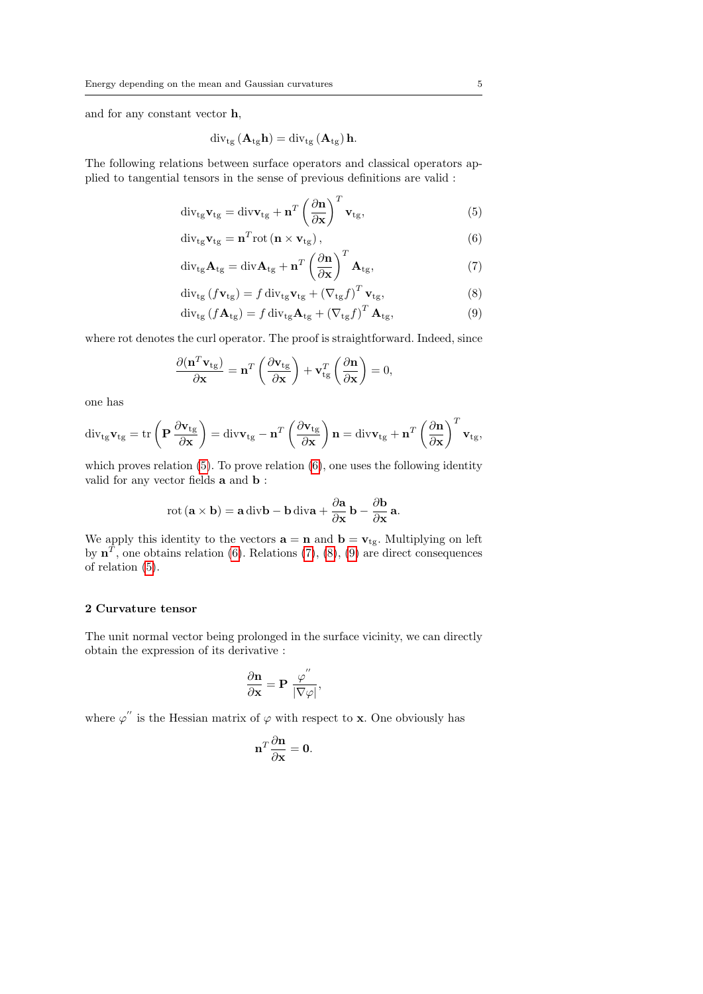and for any constant vector h,

$$
\operatorname{div}_{\operatorname{tg}}\left(\mathbf{A}_{\operatorname{tg}}\mathbf{h}\right) = \operatorname{div}_{\operatorname{tg}}\left(\mathbf{A}_{\operatorname{tg}}\right)\mathbf{h}.
$$

The following relations between surface operators and classical operators applied to tangential tensors in the sense of previous definitions are valid :

<span id="page-4-0"></span>
$$
\operatorname{div}_{\mathfrak{t}g} \mathbf{v}_{\mathfrak{t}g} = \operatorname{div} \mathbf{v}_{\mathfrak{t}g} + \mathbf{n}^T \left(\frac{\partial \mathbf{n}}{\partial \mathbf{x}}\right)^T \mathbf{v}_{\mathfrak{t}g},\tag{5}
$$

$$
\operatorname{div}_{\operatorname{tg}} \mathbf{v}_{\operatorname{tg}} = \mathbf{n}^T \operatorname{rot} \left( \mathbf{n} \times \mathbf{v}_{\operatorname{tg}} \right), \tag{6}
$$

$$
\operatorname{div}_{\mathfrak{t}g} \mathbf{A}_{\mathfrak{t}g} = \operatorname{div} \mathbf{A}_{\mathfrak{t}g} + \mathbf{n}^T \left( \frac{\partial \mathbf{n}}{\partial \mathbf{x}} \right)^T \mathbf{A}_{\mathfrak{t}g},\tag{7}
$$

$$
\operatorname{div}_{\operatorname{tg}}\left(f\mathbf{v}_{\operatorname{tg}}\right) = f \operatorname{div}_{\operatorname{tg}} \mathbf{v}_{\operatorname{tg}} + \left(\nabla_{\operatorname{tg}} f\right)^T \mathbf{v}_{\operatorname{tg}},\tag{8}
$$

$$
\operatorname{div}_{\operatorname{tg}}\left(f\mathbf{A}_{\operatorname{tg}}\right) = f \operatorname{div}_{\operatorname{tg}} \mathbf{A}_{\operatorname{tg}} + \left(\nabla_{\operatorname{tg}} f\right)^T \mathbf{A}_{\operatorname{tg}},\tag{9}
$$

where rot denotes the curl operator. The proof is straightforward. Indeed, since

$$
\frac{\partial (\mathbf{n}^T \mathbf{v}_{\text{tg}})}{\partial \mathbf{x}} = \mathbf{n}^T \left( \frac{\partial \mathbf{v}_{\text{tg}}}{\partial \mathbf{x}} \right) + \mathbf{v}_{\text{tg}}^T \left( \frac{\partial \mathbf{n}}{\partial \mathbf{x}} \right) = 0,
$$

one has

$$
\operatorname{div}_{\mathfrak{t}g} \mathbf{v}_{\mathfrak{t}g} = \operatorname{tr}\left(\mathbf{P}\frac{\partial \mathbf{v}_{\mathfrak{t}g}}{\partial \mathbf{x}}\right) = \operatorname{div}\mathbf{v}_{\mathfrak{t}g} - \mathbf{n}^T \left(\frac{\partial \mathbf{v}_{\mathfrak{t}g}}{\partial \mathbf{x}}\right) \mathbf{n} = \operatorname{div}\mathbf{v}_{\mathfrak{t}g} + \mathbf{n}^T \left(\frac{\partial \mathbf{n}}{\partial \mathbf{x}}\right)^T \mathbf{v}_{\mathfrak{t}g},
$$

which proves relation  $(5)$ . To prove relation  $(6)$ , one uses the following identity valid for any vector fields a and b :

$$
rot (\mathbf{a} \times \mathbf{b}) = \mathbf{a} \operatorname{div} \mathbf{b} - \mathbf{b} \operatorname{div} \mathbf{a} + \frac{\partial \mathbf{a}}{\partial \mathbf{x}} \mathbf{b} - \frac{\partial \mathbf{b}}{\partial \mathbf{x}} \mathbf{a}.
$$

We apply this identity to the vectors  $\mathbf{a} = \mathbf{n}$  and  $\mathbf{b} = \mathbf{v}_{tg}$ . Multiplying on left by  $\mathbf{n}^T$ , one obtains relation [\(6\)](#page-4-0). Relations [\(7\)](#page-4-0), [\(8\)](#page-4-0), [\(9\)](#page-4-0) are direct consequences of relation [\(5\)](#page-4-0).

#### 2 Curvature tensor

The unit normal vector being prolonged in the surface vicinity, we can directly obtain the expression of its derivative :

$$
\frac{\partial \mathbf{n}}{\partial \mathbf{x}} = \mathbf{P} \; \frac{\varphi^{''}}{|\nabla \varphi|},
$$

where  $\varphi''$  is the Hessian matrix of  $\varphi$  with respect to **x**. One obviously has

$$
\mathbf{n}^T \frac{\partial \mathbf{n}}{\partial \mathbf{x}} = \mathbf{0}.
$$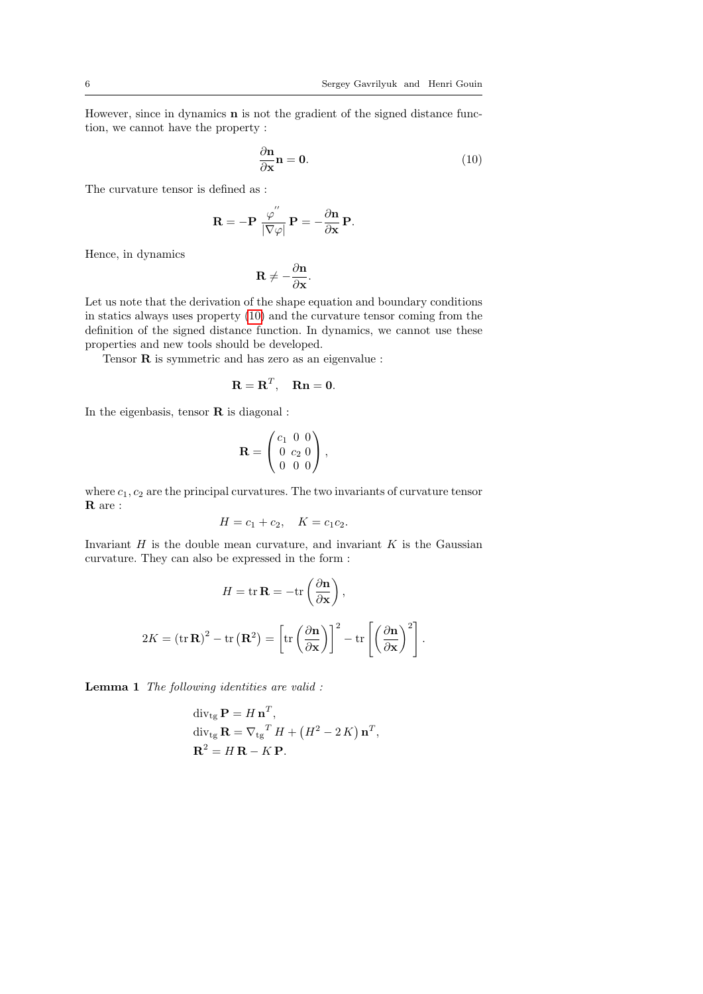.

However, since in dynamics n is not the gradient of the signed distance function, we cannot have the property :

<span id="page-5-0"></span>
$$
\frac{\partial \mathbf{n}}{\partial \mathbf{x}} \mathbf{n} = \mathbf{0}.\tag{10}
$$

The curvature tensor is defined as :

$$
\mathbf{R} = -\mathbf{P} \; \frac{\varphi^{''}}{|\nabla \varphi|} \, \mathbf{P} = -\frac{\partial \mathbf{n}}{\partial \mathbf{x}} \, \mathbf{P}.
$$

Hence, in dynamics

$$
\mathbf{R} \neq -\frac{\partial \mathbf{n}}{\partial \mathbf{x}}.
$$

Let us note that the derivation of the shape equation and boundary conditions in statics always uses property [\(10\)](#page-5-0) and the curvature tensor coming from the definition of the signed distance function. In dynamics, we cannot use these properties and new tools should be developed.

Tensor R is symmetric and has zero as an eigenvalue :

$$
\mathbf{R} = \mathbf{R}^T, \quad \mathbf{R}\mathbf{n} = \mathbf{0}.
$$

In the eigenbasis, tensor  $\bf{R}$  is diagonal :

$$
\mathbf{R} = \begin{pmatrix} c_1 & 0 & 0 \\ 0 & c_2 & 0 \\ 0 & 0 & 0 \end{pmatrix},
$$

where  $c_1, c_2$  are the principal curvatures. The two invariants of curvature tensor R are :

$$
H = c_1 + c_2, \quad K = c_1 c_2.
$$

Invariant  $H$  is the double mean curvature, and invariant  $K$  is the Gaussian curvature. They can also be expressed in the form :

$$
H = \text{tr}\,\mathbf{R} = -\text{tr}\left(\frac{\partial \mathbf{n}}{\partial \mathbf{x}}\right),
$$

$$
2K = (\text{tr}\,\mathbf{R})^2 - \text{tr}\left(\mathbf{R}^2\right) = \left[\text{tr}\left(\frac{\partial \mathbf{n}}{\partial \mathbf{x}}\right)\right]^2 - \text{tr}\left[\left(\frac{\partial \mathbf{n}}{\partial \mathbf{x}}\right)^2\right]
$$

<span id="page-5-1"></span>Lemma 1 The following identities are valid :

$$
\begin{aligned} \operatorname{div}_{\text{tg}} \mathbf{P} &= H \, \mathbf{n}^T, \\ \operatorname{div}_{\text{tg}} \mathbf{R} &= \nabla_{\text{tg}}^T H + \left( H^2 - 2 \, K \right) \mathbf{n}^T, \\ \mathbf{R}^2 &= H \, \mathbf{R} - K \, \mathbf{P}. \end{aligned}
$$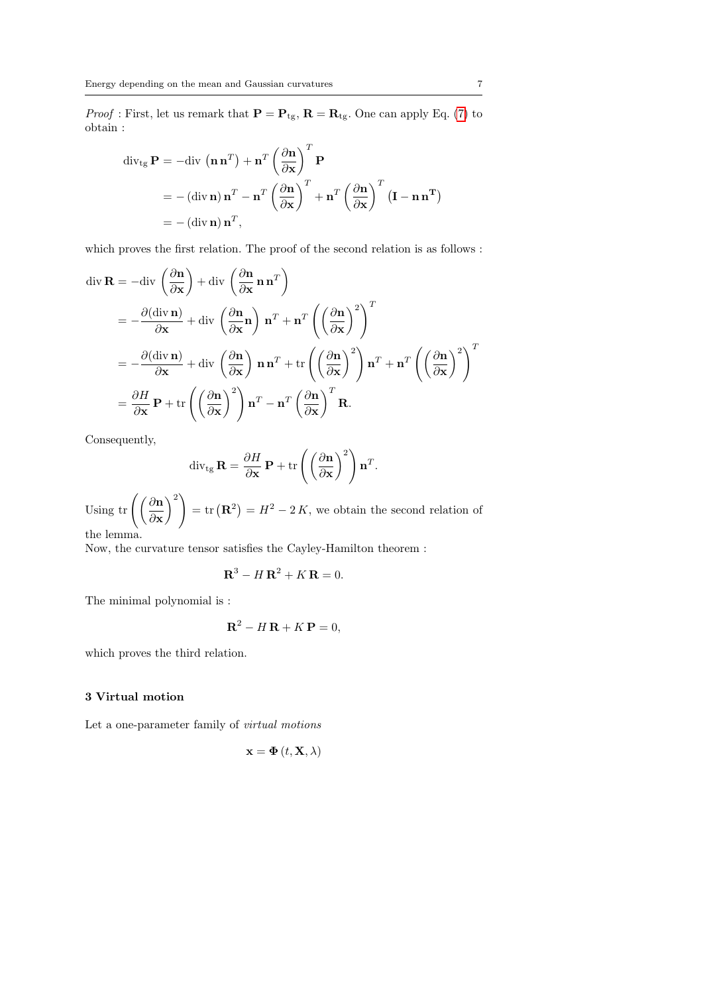*Proof* : First, let us remark that  $\mathbf{P} = \mathbf{P}_{tg}$ ,  $\mathbf{R} = \mathbf{R}_{tg}$ . One can apply Eq. [\(7\)](#page-4-0) to obtain :

$$
\begin{aligned} \operatorname{div}_{\mathfrak{t}_{\mathbf{g}}} \mathbf{P} &= -\operatorname{div} \left( \mathbf{n} \, \mathbf{n}^{T} \right) + \mathbf{n}^{T} \left( \frac{\partial \mathbf{n}}{\partial \mathbf{x}} \right)^{T} \mathbf{P} \\ &= -\left( \operatorname{div} \mathbf{n} \right) \mathbf{n}^{T} - \mathbf{n}^{T} \left( \frac{\partial \mathbf{n}}{\partial \mathbf{x}} \right)^{T} + \mathbf{n}^{T} \left( \frac{\partial \mathbf{n}}{\partial \mathbf{x}} \right)^{T} \left( \mathbf{I} - \mathbf{n} \, \mathbf{n}^{T} \right) \\ &= -\left( \operatorname{div} \mathbf{n} \right) \mathbf{n}^{T}, \end{aligned}
$$

which proves the first relation. The proof of the second relation is as follows :

$$
\begin{split}\n\text{div } \mathbf{R} &= -\text{div }\left(\frac{\partial \mathbf{n}}{\partial \mathbf{x}}\right) + \text{div }\left(\frac{\partial \mathbf{n}}{\partial \mathbf{x}} \mathbf{n} \mathbf{n}^T\right) \\
&= -\frac{\partial(\text{div } \mathbf{n})}{\partial \mathbf{x}} + \text{div }\left(\frac{\partial \mathbf{n}}{\partial \mathbf{x}} \mathbf{n}\right) \mathbf{n}^T + \mathbf{n}^T \left(\left(\frac{\partial \mathbf{n}}{\partial \mathbf{x}}\right)^2\right)^T \\
&= -\frac{\partial(\text{div } \mathbf{n})}{\partial \mathbf{x}} + \text{div }\left(\frac{\partial \mathbf{n}}{\partial \mathbf{x}}\right) \mathbf{n} \mathbf{n}^T + \text{tr }\left(\left(\frac{\partial \mathbf{n}}{\partial \mathbf{x}}\right)^2\right) \mathbf{n}^T + \mathbf{n}^T \left(\left(\frac{\partial \mathbf{n}}{\partial \mathbf{x}}\right)^2\right)^T \\
&= \frac{\partial H}{\partial \mathbf{x}} \mathbf{P} + \text{tr }\left(\left(\frac{\partial \mathbf{n}}{\partial \mathbf{x}}\right)^2\right) \mathbf{n}^T - \mathbf{n}^T \left(\frac{\partial \mathbf{n}}{\partial \mathbf{x}}\right)^T \mathbf{R}.\n\end{split}
$$

Consequently,

$$
\operatorname{div}_{\operatorname{tg}} \mathbf{R} = \frac{\partial H}{\partial \mathbf{x}} \mathbf{P} + \operatorname{tr} \left( \left( \frac{\partial \mathbf{n}}{\partial \mathbf{x}} \right)^2 \right) \mathbf{n}^T
$$

.

Using tr  $\left(\frac{\partial \mathbf{n}}{\partial n}\right)$ ∂x  $\langle \rangle^2$  $=$  tr  $(\mathbf{R}^2) = H^2 - 2K$ , we obtain the second relation of the lemma.

Now, the curvature tensor satisfies the Cayley-Hamilton theorem :

$$
\mathbf{R}^3 - H\,\mathbf{R}^2 + K\,\mathbf{R} = 0.
$$

The minimal polynomial is :

$$
\mathbf{R}^2 - H\,\mathbf{R} + K\,\mathbf{P} = 0,
$$

which proves the third relation.

## 3 Virtual motion

Let a one-parameter family of *virtual motions* 

$$
\mathbf{x} = \mathbf{\Phi}(t, \mathbf{X}, \lambda)
$$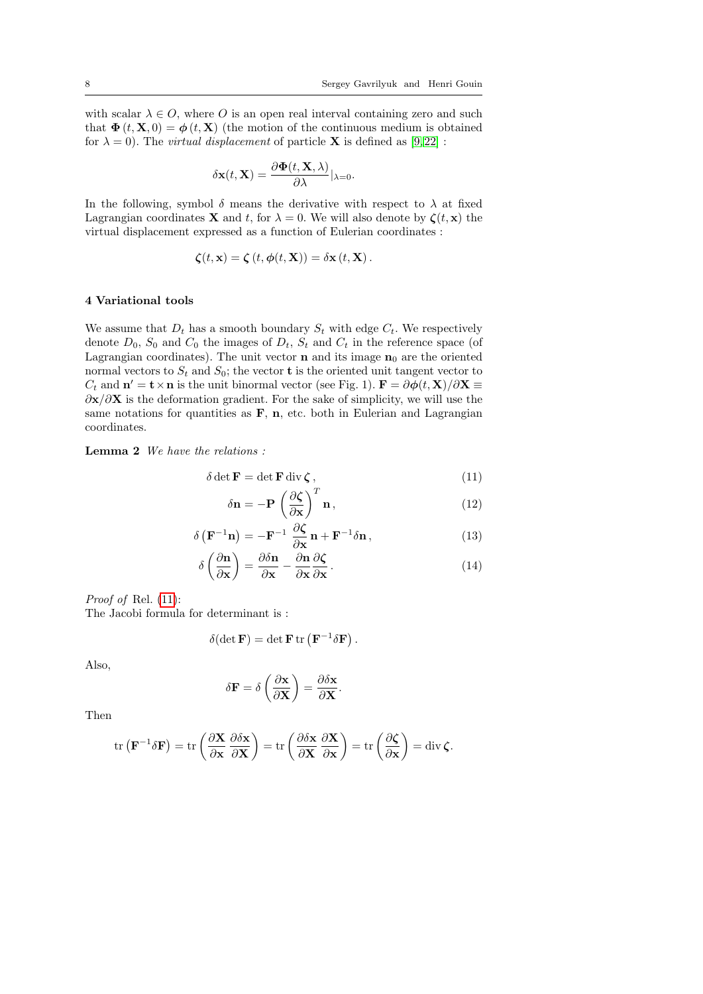with scalar  $\lambda \in O$ , where O is an open real interval containing zero and such that  $\Phi(t, \mathbf{X}, 0) = \phi(t, \mathbf{X})$  (the motion of the continuous medium is obtained for  $\lambda = 0$ ). The *virtual displacement* of particle **X** is defined as [\[9,](#page-24-8)22] :

$$
\delta \mathbf{x}(t, \mathbf{X}) = \frac{\partial \mathbf{\Phi}(t, \mathbf{X}, \lambda)}{\partial \lambda} |_{\lambda = 0}.
$$

In the following, symbol  $\delta$  means the derivative with respect to  $\lambda$  at fixed Lagrangian coordinates **X** and t, for  $\lambda = 0$ . We will also denote by  $\zeta(t, x)$  the virtual displacement expressed as a function of Eulerian coordinates :

$$
\boldsymbol{\zeta}(t,\mathbf{x}) = \boldsymbol{\zeta}(t,\boldsymbol{\phi}(t,\mathbf{X})) = \delta \mathbf{x}(t,\mathbf{X}).
$$

#### 4 Variational tools

We assume that  $D_t$  has a smooth boundary  $S_t$  with edge  $C_t$ . We respectively denote  $D_0$ ,  $S_0$  and  $C_0$  the images of  $D_t$ ,  $S_t$  and  $C_t$  in the reference space (of Lagrangian coordinates). The unit vector **n** and its image  $n_0$  are the oriented normal vectors to  $S_t$  and  $S_0$ ; the vector **t** is the oriented unit tangent vector to  $C_t$  and  $\mathbf{n}' = \mathbf{t} \times \mathbf{n}$  is the unit binormal vector (see Fig. 1).  $\mathbf{F} = \partial \phi(t, \mathbf{X})/\partial \mathbf{X} \equiv$  $\partial$ x/ $\partial$ X is the deformation gradient. For the sake of simplicity, we will use the same notations for quantities as  $\bf{F}$ , **n**, etc. both in Eulerian and Lagrangian coordinates.

<span id="page-7-1"></span>Lemma 2 We have the relations :

<span id="page-7-0"></span>
$$
\delta \det \mathbf{F} = \det \mathbf{F} \operatorname{div} \boldsymbol{\zeta} \,,\tag{11}
$$

$$
\delta \mathbf{n} = -\mathbf{P} \left( \frac{\partial \zeta}{\partial \mathbf{x}} \right)^T \mathbf{n},\tag{12}
$$

.

$$
\delta\left(\mathbf{F}^{-1}\mathbf{n}\right) = -\mathbf{F}^{-1}\frac{\partial\zeta}{\partial\mathbf{x}}\mathbf{n} + \mathbf{F}^{-1}\delta\mathbf{n},\qquad(13)
$$

$$
\delta \left( \frac{\partial \mathbf{n}}{\partial \mathbf{x}} \right) = \frac{\partial \delta \mathbf{n}}{\partial \mathbf{x}} - \frac{\partial \mathbf{n}}{\partial \mathbf{x}} \frac{\partial \zeta}{\partial \mathbf{x}}.
$$
 (14)

Proof of Rel. [\(11\)](#page-7-0):

The Jacobi formula for determinant is :

$$
\delta(\det \mathbf{F}) = \det \mathbf{F} \operatorname{tr} \left( \mathbf{F}^{-1} \delta \mathbf{F} \right)
$$

Also,

$$
\delta \mathbf{F} = \delta \left( \frac{\partial \mathbf{x}}{\partial \mathbf{X}} \right) = \frac{\partial \delta \mathbf{x}}{\partial \mathbf{X}}.
$$

Then

$$
\operatorname{tr}\left(\mathbf{F}^{-1}\delta\mathbf{F}\right) = \operatorname{tr}\left(\frac{\partial\mathbf{X}}{\partial\mathbf{x}}\frac{\partial\delta\mathbf{x}}{\partial\mathbf{X}}\right) = \operatorname{tr}\left(\frac{\partial\delta\mathbf{x}}{\partial\mathbf{X}}\frac{\partial\mathbf{X}}{\partial\mathbf{x}}\right) = \operatorname{tr}\left(\frac{\partial\zeta}{\partial\mathbf{x}}\right) = \operatorname{div}\zeta.
$$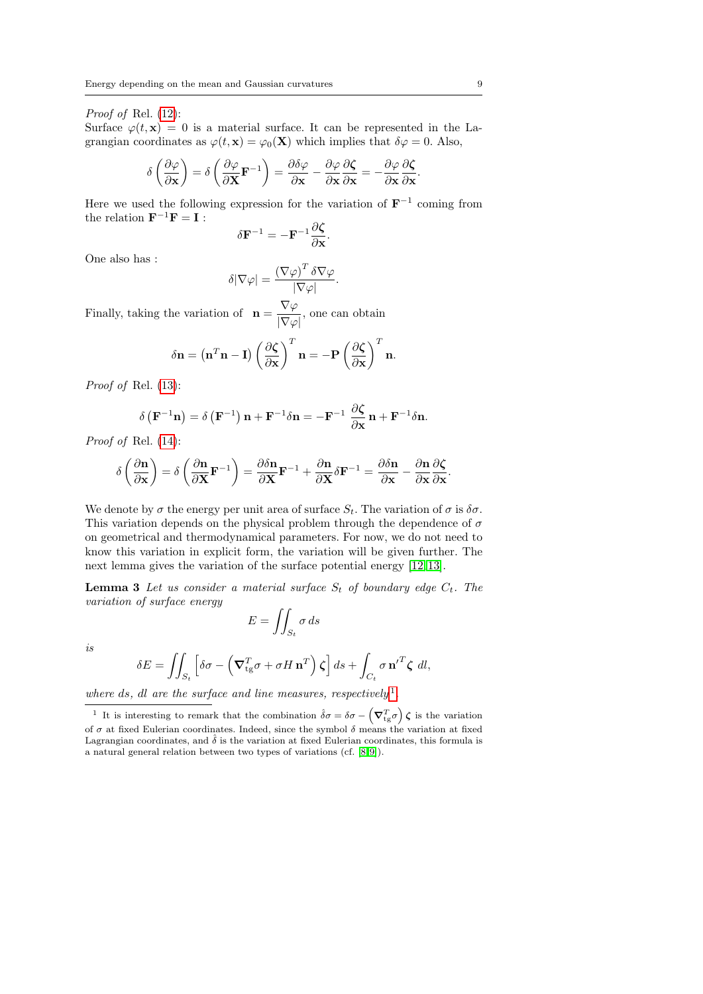#### Proof of Rel. [\(12\)](#page-7-0):

Surface  $\varphi(t, \mathbf{x}) = 0$  is a material surface. It can be represented in the Lagrangian coordinates as  $\varphi(t, \mathbf{x}) = \varphi_0(\mathbf{X})$  which implies that  $\delta \varphi = 0$ . Also,

$$
\delta \left( \frac{\partial \varphi}{\partial \mathbf{x}} \right) = \delta \left( \frac{\partial \varphi}{\partial \mathbf{X}} \mathbf{F}^{-1} \right) = \frac{\partial \delta \varphi}{\partial \mathbf{x}} - \frac{\partial \varphi}{\partial \mathbf{x}} \frac{\partial \zeta}{\partial \mathbf{x}} = -\frac{\partial \varphi}{\partial \mathbf{x}} \frac{\partial \zeta}{\partial \mathbf{x}}
$$

Here we used the following expression for the variation of  $\mathbf{F}^{-1}$  coming from the relation  $\mathbf{F}^{-1}\mathbf{F} = \mathbf{I}$ :

$$
\delta \mathbf{F}^{-1} = -\mathbf{F}^{-1} \frac{\partial \boldsymbol{\zeta}}{\partial \mathbf{x}}.
$$

One also has :

$$
\delta|\nabla\varphi| = \frac{(\nabla\varphi)^T \delta\nabla\varphi}{|\nabla\varphi|}.
$$

Finally, taking the variation of  $\mathbf{n} = \frac{\nabla \varphi}{\sqrt{n}}$  $\frac{\mathbf{v} \cdot \mathbf{v}}{|\nabla \varphi|}$ , one can obtain

$$
\delta \mathbf{n} = (\mathbf{n}^T \mathbf{n} - \mathbf{I}) \left( \frac{\partial \zeta}{\partial \mathbf{x}} \right)^T \mathbf{n} = -\mathbf{P} \left( \frac{\partial \zeta}{\partial \mathbf{x}} \right)^T \mathbf{n}.
$$

Proof of Rel. [\(13\)](#page-7-0):

$$
\delta\left(\mathbf{F}^{-1}\mathbf{n}\right) = \delta\left(\mathbf{F}^{-1}\right)\mathbf{n} + \mathbf{F}^{-1}\delta\mathbf{n} = -\mathbf{F}^{-1}\frac{\partial\mathbf{\zeta}}{\partial\mathbf{x}}\mathbf{n} + \mathbf{F}^{-1}\delta\mathbf{n}.
$$

Proof of Rel. [\(14\)](#page-7-0):

$$
\delta\left(\frac{\partial \mathbf{n}}{\partial \mathbf{x}}\right) = \delta\left(\frac{\partial \mathbf{n}}{\partial \mathbf{X}}\mathbf{F}^{-1}\right) = \frac{\partial \delta \mathbf{n}}{\partial \mathbf{X}}\mathbf{F}^{-1} + \frac{\partial \mathbf{n}}{\partial \mathbf{X}}\delta \mathbf{F}^{-1} = \frac{\partial \delta \mathbf{n}}{\partial \mathbf{x}} - \frac{\partial \mathbf{n}}{\partial \mathbf{x}}\frac{\partial \zeta}{\partial \mathbf{x}}.
$$

We denote by  $\sigma$  the energy per unit area of surface  $S_t$ . The variation of  $\sigma$  is  $\delta\sigma$ . This variation depends on the physical problem through the dependence of  $\sigma$ on geometrical and thermodynamical parameters. For now, we do not need to know this variation in explicit form, the variation will be given further. The next lemma gives the variation of the surface potential energy [\[12,](#page-24-0) [13\]](#page-24-7).

**Lemma 3** Let us consider a material surface  $S_t$  of boundary edge  $C_t$ . The variation of surface energy

<span id="page-8-1"></span>
$$
E = \iint_{S_t} \sigma \, ds
$$

is

$$
\delta E = \iint_{S_t} \left[ \delta \sigma - \left( \nabla_{tg}^T \sigma + \sigma H \mathbf{n}^T \right) \zeta \right] ds + \int_{C_t} \sigma \mathbf{n}'^T \zeta \, dl,
$$

where ds, dl are the surface and line measures, respectively<sup>[1](#page-8-0)</sup>.

.

<span id="page-8-0"></span><sup>&</sup>lt;sup>1</sup> It is interesting to remark that the combination  $\hat{\delta}\sigma = \delta\sigma - \left(\nabla_{tg}^T \sigma\right)\boldsymbol{\zeta}$  is the variation of  $\sigma$  at fixed Eulerian coordinates. Indeed, since the symbol  $\delta$  means the variation at fixed Lagrangian coordinates, and  $\hat{\delta}$  is the variation at fixed Eulerian coordinates, this formula is a natural general relation between two types of variations (cf. [\[8,](#page-24-9)[9\]](#page-24-8)).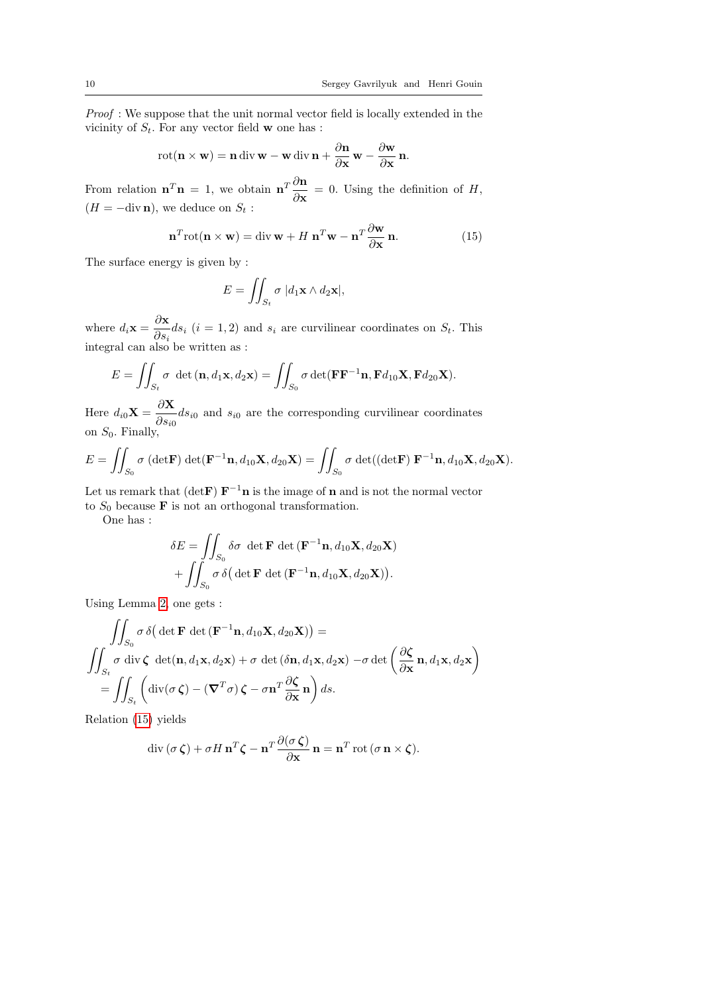Proof: We suppose that the unit normal vector field is locally extended in the vicinity of  $S_t$ . For any vector field **w** one has :

$$
\text{rot}(\mathbf{n} \times \mathbf{w}) = \mathbf{n} \operatorname{div} \mathbf{w} - \mathbf{w} \operatorname{div} \mathbf{n} + \frac{\partial \mathbf{n}}{\partial \mathbf{x}} \mathbf{w} - \frac{\partial \mathbf{w}}{\partial \mathbf{x}} \mathbf{n}.
$$

From relation  $\mathbf{n}^T \mathbf{n} = 1$ , we obtain  $\mathbf{n}^T \frac{\partial \mathbf{n}}{\partial \mathbf{n}}$  $\frac{\partial {\bf x}}{\partial {\bf x}} = 0$ . Using the definition of H,  $(H = -\text{div }\mathbf{n})$ , we deduce on  $S_t$ :

<span id="page-9-0"></span>
$$
\mathbf{n}^{T}\mathrm{rot}(\mathbf{n}\times\mathbf{w})=\mathrm{div}\,\mathbf{w}+H\,\mathbf{n}^{T}\mathbf{w}-\mathbf{n}^{T}\frac{\partial\mathbf{w}}{\partial\mathbf{x}}\,\mathbf{n}.\tag{15}
$$

The surface energy is given by :

$$
E = \iint_{S_t} \sigma \, |d_1 \mathbf{x} \wedge d_2 \mathbf{x}|,
$$

where  $d_i \mathbf{x} = \frac{\partial \mathbf{x}}{\partial x_i}$  $\frac{\partial S_i}{\partial s_i}$  (i = 1, 2) and  $s_i$  are curvilinear coordinates on  $S_t$ . This integral can also be written as :

$$
E = \iint_{S_t} \sigma \, \det(\mathbf{n}, d_1 \mathbf{x}, d_2 \mathbf{x}) = \iint_{S_0} \sigma \det(\mathbf{F} \mathbf{F}^{-1} \mathbf{n}, \mathbf{F} d_{10} \mathbf{X}, \mathbf{F} d_{20} \mathbf{X}).
$$

Here  $d_{i0}X = \frac{\partial X}{\partial x}$  $\frac{\partial}{\partial s_{i0}}$  and  $s_{i0}$  are the corresponding curvilinear coordinates on  $S_0$ . Finally,

$$
E = \iint_{S_0} \sigma \left( \det \mathbf{F} \right) \det \left( \mathbf{F}^{-1} \mathbf{n}, d_{10} \mathbf{X}, d_{20} \mathbf{X} \right) = \iint_{S_0} \sigma \det \left( \left( \det \mathbf{F} \right) \mathbf{F}^{-1} \mathbf{n}, d_{10} \mathbf{X}, d_{20} \mathbf{X} \right).
$$

Let us remark that (det **F**)  $\mathbf{F}^{-1}\mathbf{n}$  is the image of **n** and is not the normal vector to  $S_0$  because **F** is not an orthogonal transformation.

One has :

$$
\delta E = \iint_{S_0} \delta \sigma \, \det \mathbf{F} \, \det \left( \mathbf{F}^{-1} \mathbf{n}, d_{10} \mathbf{X}, d_{20} \mathbf{X} \right) + \iint_{S_0} \sigma \, \delta \big( \det \mathbf{F} \, \det \left( \mathbf{F}^{-1} \mathbf{n}, d_{10} \mathbf{X}, d_{20} \mathbf{X} \right) \big).
$$

Using Lemma [2,](#page-7-1) one gets :

$$
\iint_{S_0} \sigma \, \delta\big(\det \mathbf{F} \, \det (\mathbf{F}^{-1} \mathbf{n}, d_{10} \mathbf{X}, d_{20} \mathbf{X})\big) =
$$
\n
$$
\iint_{S_t} \sigma \, \operatorname{div} \zeta \, \det(\mathbf{n}, d_1 \mathbf{x}, d_2 \mathbf{x}) + \sigma \, \det (\delta \mathbf{n}, d_1 \mathbf{x}, d_2 \mathbf{x}) - \sigma \det \bigg(\frac{\partial \zeta}{\partial \mathbf{x}} \mathbf{n}, d_1 \mathbf{x}, d_2 \mathbf{x}\bigg)
$$
\n
$$
= \iint_{S_t} \left( \operatorname{div}(\sigma \, \zeta) - (\nabla^T \sigma) \, \zeta - \sigma \mathbf{n}^T \frac{\partial \zeta}{\partial \mathbf{x}} \mathbf{n} \right) ds.
$$

Relation [\(15\)](#page-9-0) yields

$$
\operatorname{div}(\sigma \boldsymbol{\zeta}) + \sigma H \mathbf{n}^T \boldsymbol{\zeta} - \mathbf{n}^T \frac{\partial(\sigma \boldsymbol{\zeta})}{\partial \mathbf{x}} \mathbf{n} = \mathbf{n}^T \operatorname{rot} (\sigma \mathbf{n} \times \boldsymbol{\zeta}).
$$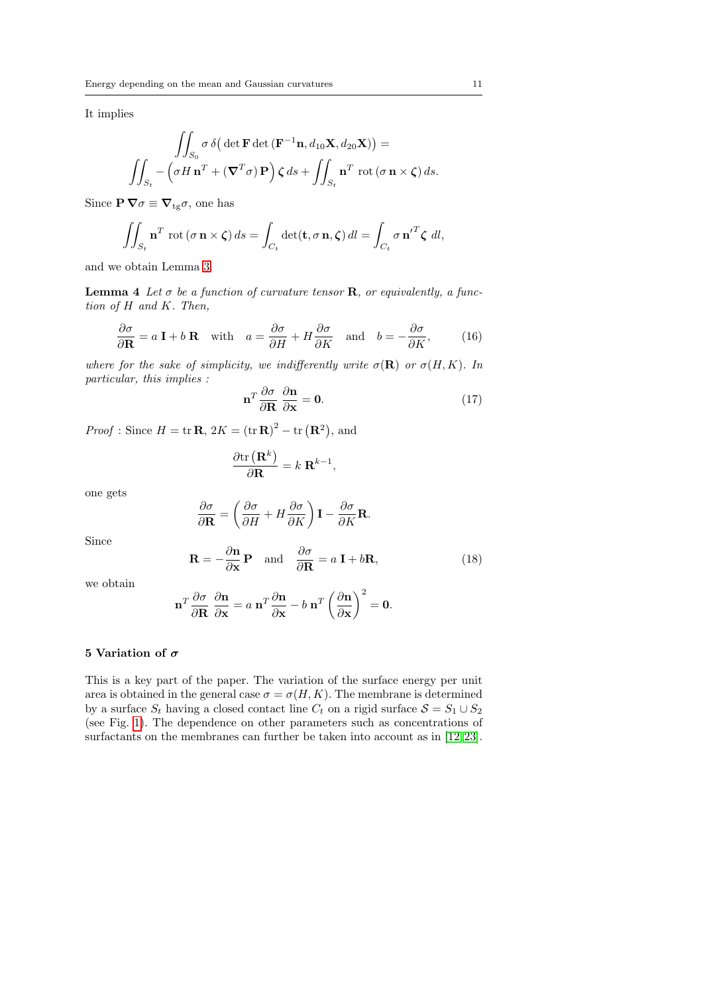It implies

<span id="page-10-2"></span>
$$
\iint_{S_0} \sigma \, \delta\big( \det \mathbf{F} \det \left( \mathbf{F}^{-1} \mathbf{n}, d_{10} \mathbf{X}, d_{20} \mathbf{X} \right) \big) =
$$
\n
$$
\iint_{S_t} -\left( \sigma H \mathbf{n}^T + \left( \mathbf{\nabla}^T \sigma \right) \mathbf{P} \right) \zeta \, ds + \iint_{S_t} \mathbf{n}^T \, \cot \big( \sigma \mathbf{n} \times \zeta \big) \, ds.
$$

Since  $\mathbf{P} \nabla \sigma \equiv \nabla_{\mathbf{t}g} \sigma$ , one has

$$
\iint_{S_t} \mathbf{n}^T \operatorname{rot}(\sigma \mathbf{n} \times \boldsymbol{\zeta}) ds = \int_{C_t} \det(\mathbf{t}, \sigma \mathbf{n}, \boldsymbol{\zeta}) dl = \int_{C_t} \sigma \mathbf{n}'^T \boldsymbol{\zeta} dl,
$$

and we obtain Lemma [3.](#page-8-1)

<span id="page-10-4"></span>**Lemma 4** Let  $\sigma$  be a function of curvature tensor **R**, or equivalently, a function of H and K. Then,

$$
\frac{\partial \sigma}{\partial \mathbf{R}} = a \mathbf{I} + b \mathbf{R} \quad \text{with} \quad a = \frac{\partial \sigma}{\partial H} + H \frac{\partial \sigma}{\partial K} \quad \text{and} \quad b = -\frac{\partial \sigma}{\partial K}, \tag{16}
$$

where for the sake of simplicity, we indifferently write  $\sigma(\mathbf{R})$  or  $\sigma(H, K)$ . In particular, this implies :

<span id="page-10-0"></span>
$$
\mathbf{n}^T \frac{\partial \sigma}{\partial \mathbf{R}} \frac{\partial \mathbf{n}}{\partial \mathbf{x}} = \mathbf{0}.
$$
 (17)

*Proof*: Since  $H = \text{tr } \mathbf{R}$ ,  $2K = (\text{tr } \mathbf{R})^2 - \text{tr } (\mathbf{R}^2)$ , and

$$
\frac{\partial \text{tr}\left(\mathbf{R}^{k}\right)}{\partial \mathbf{R}} = k \ \mathbf{R}^{k-1},
$$

one gets

$$
\frac{\partial \sigma}{\partial \mathbf{R}} = \left( \frac{\partial \sigma}{\partial H} + H \frac{\partial \sigma}{\partial K} \right) \mathbf{I} - \frac{\partial \sigma}{\partial K} \mathbf{R}.
$$

Since

<span id="page-10-3"></span>
$$
\mathbf{R} = -\frac{\partial \mathbf{n}}{\partial \mathbf{x}} \mathbf{P} \quad \text{and} \quad \frac{\partial \sigma}{\partial \mathbf{R}} = a \mathbf{I} + b \mathbf{R}, \tag{18}
$$

we obtain

$$
\mathbf{n}^T \frac{\partial \sigma}{\partial \mathbf{R}} \frac{\partial \mathbf{n}}{\partial \mathbf{x}} = a \mathbf{n}^T \frac{\partial \mathbf{n}}{\partial \mathbf{x}} - b \mathbf{n}^T \left(\frac{\partial \mathbf{n}}{\partial \mathbf{x}}\right)^2 = \mathbf{0}.
$$

## 5 Variation of  $\sigma$

<span id="page-10-1"></span>This is a key part of the paper. The variation of the surface energy per unit area is obtained in the general case  $\sigma = \sigma(H, K)$ . The membrane is determined by a surface  $S_t$  having a closed contact line  $C_t$  on a rigid surface  $\mathcal{S} = S_1 \cup S_2$ (see Fig. [1\)](#page-13-0). The dependence on other parameters such as concentrations of surfactants on the membranes can further be taken into account as in [\[12,](#page-24-0)23].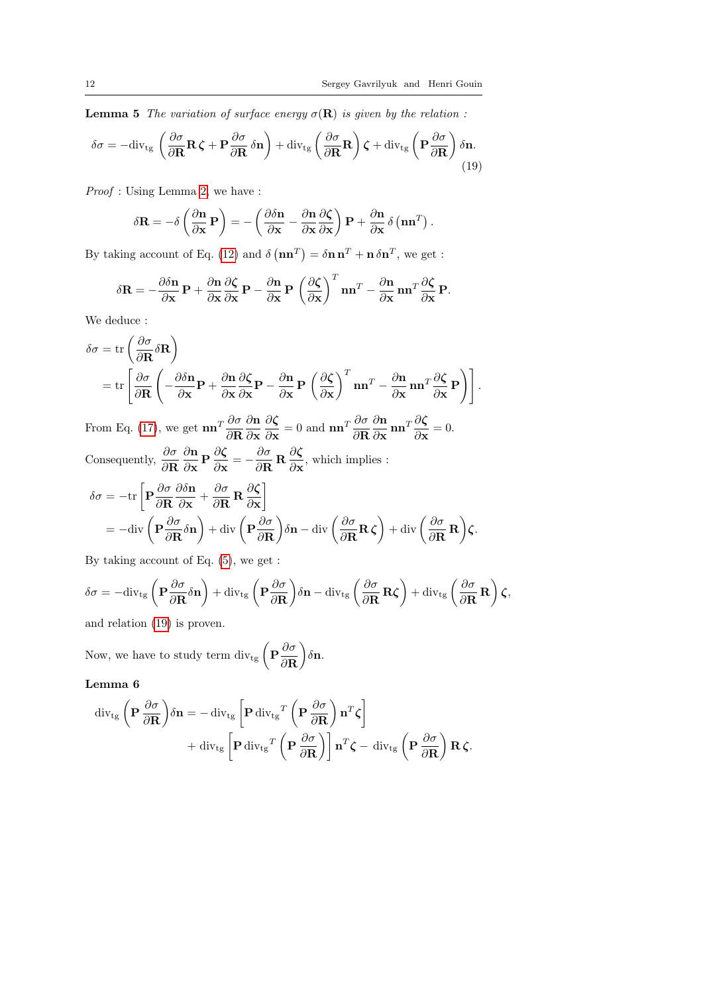**Lemma 5** The variation of surface energy  $\sigma(\mathbf{R})$  is given by the relation :

<span id="page-11-0"></span>
$$
\delta\sigma = -\mathrm{div}_{\mathrm{tg}}\left(\frac{\partial\sigma}{\partial\mathbf{R}}\mathbf{R}\,\boldsymbol{\zeta} + \mathbf{P}\frac{\partial\sigma}{\partial\mathbf{R}}\,\delta\mathbf{n}\right) + \mathrm{div}_{\mathrm{tg}}\left(\frac{\partial\sigma}{\partial\mathbf{R}}\mathbf{R}\right)\boldsymbol{\zeta} + \mathrm{div}_{\mathrm{tg}}\left(\mathbf{P}\frac{\partial\sigma}{\partial\mathbf{R}}\right)\delta\mathbf{n}.\tag{19}
$$

Proof : Using Lemma [2,](#page-7-1) we have :

$$
\delta \mathbf{R} = -\delta \left( \frac{\partial \mathbf{n}}{\partial \mathbf{x}} \mathbf{P} \right) = -\left( \frac{\partial \delta \mathbf{n}}{\partial \mathbf{x}} - \frac{\partial \mathbf{n}}{\partial \mathbf{x}} \frac{\partial \zeta}{\partial \mathbf{x}} \right) \mathbf{P} + \frac{\partial \mathbf{n}}{\partial \mathbf{x}} \delta \left( \mathbf{n} \mathbf{n}^T \right).
$$

By taking account of Eq. [\(12\)](#page-7-0) and  $\delta(\mathbf{n}\mathbf{n}^T) = \delta \mathbf{n}\mathbf{n}^T + \mathbf{n}\delta \mathbf{n}^T$ , we get :

$$
\delta \mathbf{R} = -\frac{\partial \delta \mathbf{n}}{\partial \mathbf{x}} \mathbf{P} + \frac{\partial \mathbf{n}}{\partial \mathbf{x}} \frac{\partial \zeta}{\partial \mathbf{x}} \mathbf{P} - \frac{\partial \mathbf{n}}{\partial \mathbf{x}} \mathbf{P} \left( \frac{\partial \zeta}{\partial \mathbf{x}} \right)^T \mathbf{n} \mathbf{n}^T - \frac{\partial \mathbf{n}}{\partial \mathbf{x}} \mathbf{n} \mathbf{n}^T \frac{\partial \zeta}{\partial \mathbf{x}} \mathbf{P}.
$$

We deduce :

$$
\delta \sigma = \text{tr}\left(\frac{\partial \sigma}{\partial \mathbf{R}} \delta \mathbf{R}\right)
$$
  
= 
$$
\text{tr}\left[\frac{\partial \sigma}{\partial \mathbf{R}}\left(-\frac{\partial \delta \mathbf{n}}{\partial \mathbf{x}}\mathbf{P} + \frac{\partial \mathbf{n}}{\partial \mathbf{x}}\frac{\partial \zeta}{\partial \mathbf{x}}\mathbf{P} - \frac{\partial \mathbf{n}}{\partial \mathbf{x}}\mathbf{P}\left(\frac{\partial \zeta}{\partial \mathbf{x}}\right)^T \mathbf{n} \mathbf{n}^T - \frac{\partial \mathbf{n}}{\partial \mathbf{x}}\mathbf{n} \mathbf{n}^T \frac{\partial \zeta}{\partial \mathbf{x}}\mathbf{P}\right]\right].
$$

From Eq. [\(17\)](#page-10-0), we get  $\mathbf{nn}^T \frac{\partial \sigma}{\partial \mathbf{R}}$ ∂n ∂x ∂ζ  $\frac{\partial \zeta}{\partial \mathbf{x}} = 0$  and  $\mathbf{n} \mathbf{n}^T \frac{\partial \sigma}{\partial \mathbf{R}}$ ∂n  $\frac{\partial \mathbf{n}}{\partial \mathbf{x}} \mathbf{n} \mathbf{n}^T \frac{\partial \boldsymbol{\zeta}}{\partial \mathbf{x}} = 0.$ Consequently,  $\frac{\partial \sigma}{\partial \mathbf{R}}$ ∂n  $\frac{\partial \mathbf{n}}{\partial \mathbf{x}} \mathbf{P} \frac{\partial \boldsymbol{\zeta}}{\partial \mathbf{x}}$  $\frac{\partial \zeta}{\partial \mathbf{x}} = -\frac{\partial \sigma}{\partial \mathbf{R}}$  $\frac{\partial \sigma}{\partial \mathbf{R}} \mathbf{R} \frac{\partial \zeta}{\partial \mathbf{x}}$  $\frac{\partial \mathbf{S}}{\partial \mathbf{x}},$  which implies :

$$
\delta \sigma = -\text{tr}\left[\mathbf{P}\frac{\partial \sigma}{\partial \mathbf{R}}\frac{\partial \delta \mathbf{n}}{\partial \mathbf{x}} + \frac{\partial \sigma}{\partial \mathbf{R}}\mathbf{R}\frac{\partial \zeta}{\partial \mathbf{x}}\right]
$$
  
=  $-\text{div}\left(\mathbf{P}\frac{\partial \sigma}{\partial \mathbf{R}}\delta \mathbf{n}\right) + \text{div}\left(\mathbf{P}\frac{\partial \sigma}{\partial \mathbf{R}}\right)\delta \mathbf{n} - \text{div}\left(\frac{\partial \sigma}{\partial \mathbf{R}}\mathbf{R}\zeta\right) + \text{div}\left(\frac{\partial \sigma}{\partial \mathbf{R}}\mathbf{R}\right)\zeta.$ 

By taking account of Eq. [\(5\)](#page-4-0), we get :

$$
\delta\sigma=-{\rm div}_{\rm tg}\left(\mathbf{P}\frac{\partial\sigma}{\partial\mathbf{R}}\delta\mathbf{n}\right)+{\rm div}_{\rm tg}\left(\mathbf{P}\frac{\partial\sigma}{\partial\mathbf{R}}\right)\delta\mathbf{n}-{\rm div}_{\rm tg}\left(\frac{\partial\sigma}{\partial\mathbf{R}}\mathbf{R}\boldsymbol{\zeta}\right)+{\rm div}_{\rm tg}\left(\frac{\partial\sigma}{\partial\mathbf{R}}\mathbf{R}\right)\boldsymbol{\zeta},
$$

and relation [\(19\)](#page-11-0) is proven.

Now, we have to study term div<sub>tg</sub>  $\left(\mathbf{P}\frac{\partial \sigma}{\partial \mathbf{D}}\right)$ ∂R  $\big)$ δn.

# Lemma 6

<span id="page-11-1"></span>
$$
\begin{split} \operatorname{div}_{\rm tg} \left( \mathbf{P} \, \frac{\partial \sigma}{\partial \mathbf{R}} \right) & \delta \mathbf{n} = -\operatorname{div}_{\rm tg} \left[ \mathbf{P} \operatorname{div}_{\rm tg}{}^T \left( \mathbf{P} \, \frac{\partial \sigma}{\partial \mathbf{R}} \right) \mathbf{n}^T \zeta \right] \\ & + \operatorname{div}_{\rm tg} \left[ \mathbf{P} \operatorname{div}_{\rm tg}{}^T \left( \mathbf{P} \, \frac{\partial \sigma}{\partial \mathbf{R}} \right) \right] \mathbf{n}^T \zeta - \operatorname{div}_{\rm tg} \left( \mathbf{P} \, \frac{\partial \sigma}{\partial \mathbf{R}} \right) \mathbf{R} \zeta. \end{split}
$$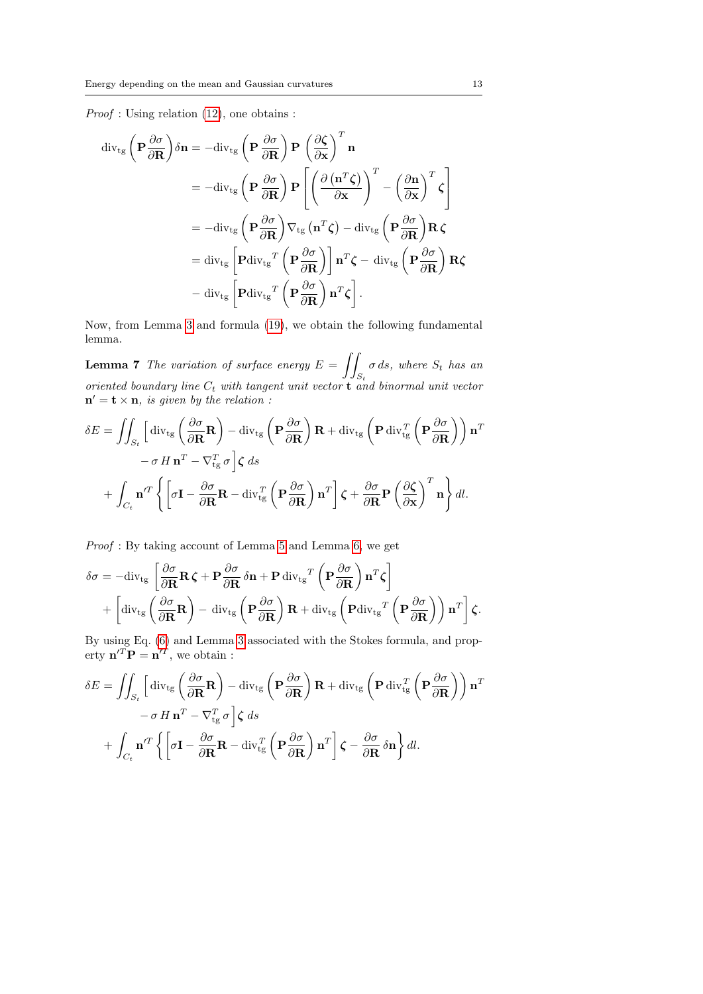Proof : Using relation [\(12\)](#page-7-0), one obtains :

$$
\begin{split}\n\operatorname{div}_{\text{tg}}\left(\mathbf{P}\frac{\partial\sigma}{\partial\mathbf{R}}\right)\delta\mathbf{n} &= -\operatorname{div}_{\text{tg}}\left(\mathbf{P}\frac{\partial\sigma}{\partial\mathbf{R}}\right)\mathbf{P}\left(\frac{\partial\zeta}{\partial\mathbf{x}}\right)^{T}\mathbf{n} \\
&= -\operatorname{div}_{\text{tg}}\left(\mathbf{P}\frac{\partial\sigma}{\partial\mathbf{R}}\right)\mathbf{P}\left[\left(\frac{\partial\left(\mathbf{n}^{T}\zeta\right)}{\partial\mathbf{x}}\right)^{T} - \left(\frac{\partial\mathbf{n}}{\partial\mathbf{x}}\right)^{T}\zeta\right] \\
&= -\operatorname{div}_{\text{tg}}\left(\mathbf{P}\frac{\partial\sigma}{\partial\mathbf{R}}\right)\nabla_{\text{tg}}\left(\mathbf{n}^{T}\zeta\right) - \operatorname{div}_{\text{tg}}\left(\mathbf{P}\frac{\partial\sigma}{\partial\mathbf{R}}\right)\mathbf{R}\zeta \\
&= \operatorname{div}_{\text{tg}}\left[\mathbf{P}\operatorname{div}_{\text{tg}}^{T}\left(\mathbf{P}\frac{\partial\sigma}{\partial\mathbf{R}}\right)\right]\mathbf{n}^{T}\zeta - \operatorname{div}_{\text{tg}}\left(\mathbf{P}\frac{\partial\sigma}{\partial\mathbf{R}}\right)\mathbf{R}\zeta \\
&- \operatorname{div}_{\text{tg}}\left[\mathbf{P}\operatorname{div}_{\text{tg}}^{T}\left(\mathbf{P}\frac{\partial\sigma}{\partial\mathbf{R}}\right)\mathbf{n}^{T}\zeta\right].\n\end{split}
$$

<span id="page-12-0"></span>Now, from Lemma [3](#page-8-1) and formula [\(19\)](#page-11-0), we obtain the following fundamental lemma.

**Lemma 7** The variation of surface energy  $E = \int$  $S_t$  $\sigma ds$ , where  $S_t$  has an oriented boundary line  $C_t$  with tangent unit vector **t** and binormal unit vector  $\mathbf{n}' = \mathbf{t} \times \mathbf{n}$ , is given by the relation:

$$
\delta E = \iint_{S_t} \left[ \text{div}_{\text{tg}} \left( \frac{\partial \sigma}{\partial \mathbf{R}} \mathbf{R} \right) - \text{div}_{\text{tg}} \left( \mathbf{P} \frac{\partial \sigma}{\partial \mathbf{R}} \right) \mathbf{R} + \text{div}_{\text{tg}} \left( \mathbf{P} \text{div}_{\text{tg}}^T \left( \mathbf{P} \frac{\partial \sigma}{\partial \mathbf{R}} \right) \right) \mathbf{n}^T - \sigma \, H \, \mathbf{n}^T - \nabla_{\text{tg}}^T \sigma \right] \zeta \, ds
$$

$$
+ \int_{C_t} \mathbf{n}'^T \left\{ \left[ \sigma \mathbf{I} - \frac{\partial \sigma}{\partial \mathbf{R}} \mathbf{R} - \text{div}_{\text{tg}}^T \left( \mathbf{P} \frac{\partial \sigma}{\partial \mathbf{R}} \right) \mathbf{n}^T \right] \zeta + \frac{\partial \sigma}{\partial \mathbf{R}} \mathbf{P} \left( \frac{\partial \zeta}{\partial \mathbf{x}} \right)^T \mathbf{n} \right\} dl.
$$

Proof : By taking account of Lemma [5](#page-10-1) and Lemma [6,](#page-11-1) we get

$$
\delta \sigma = -\text{div}_{\text{tg}} \left[ \frac{\partial \sigma}{\partial \mathbf{R}} \mathbf{R} \zeta + \mathbf{P} \frac{\partial \sigma}{\partial \mathbf{R}} \delta \mathbf{n} + \mathbf{P} \text{div}_{\text{tg}}^T \left( \mathbf{P} \frac{\partial \sigma}{\partial \mathbf{R}} \right) \mathbf{n}^T \zeta \right] + \left[ \text{div}_{\text{tg}} \left( \frac{\partial \sigma}{\partial \mathbf{R}} \mathbf{R} \right) - \text{div}_{\text{tg}} \left( \mathbf{P} \frac{\partial \sigma}{\partial \mathbf{R}} \right) \mathbf{R} + \text{div}_{\text{tg}} \left( \mathbf{P} \text{div}_{\text{tg}}^T \left( \mathbf{P} \frac{\partial \sigma}{\partial \mathbf{R}} \right) \right) \mathbf{n}^T \right] \zeta.
$$

By using Eq. [\(6\)](#page-4-0) and Lemma [3](#page-8-1) associated with the Stokes formula, and property  $\mathbf{n}'^T \mathbf{P} = \mathbf{n}'^T$ , we obtain :

$$
\delta E = \iint_{S_t} \left[ \text{div}_{\text{tg}} \left( \frac{\partial \sigma}{\partial \mathbf{R}} \mathbf{R} \right) - \text{div}_{\text{tg}} \left( \mathbf{P} \frac{\partial \sigma}{\partial \mathbf{R}} \right) \mathbf{R} + \text{div}_{\text{tg}} \left( \mathbf{P} \text{div}_{\text{tg}}^T \left( \mathbf{P} \frac{\partial \sigma}{\partial \mathbf{R}} \right) \right) \mathbf{n}^T - \sigma H \mathbf{n}^T - \nabla_{\text{tg}}^T \sigma \right] \zeta \, ds
$$

$$
+ \int_{C_t} \mathbf{n}^{\prime T} \left\{ \left[ \sigma \mathbf{I} - \frac{\partial \sigma}{\partial \mathbf{R}} \mathbf{R} - \text{div}_{\text{tg}}^T \left( \mathbf{P} \frac{\partial \sigma}{\partial \mathbf{R}} \right) \mathbf{n}^T \right] \zeta - \frac{\partial \sigma}{\partial \mathbf{R}} \delta \mathbf{n} \right\} dl.
$$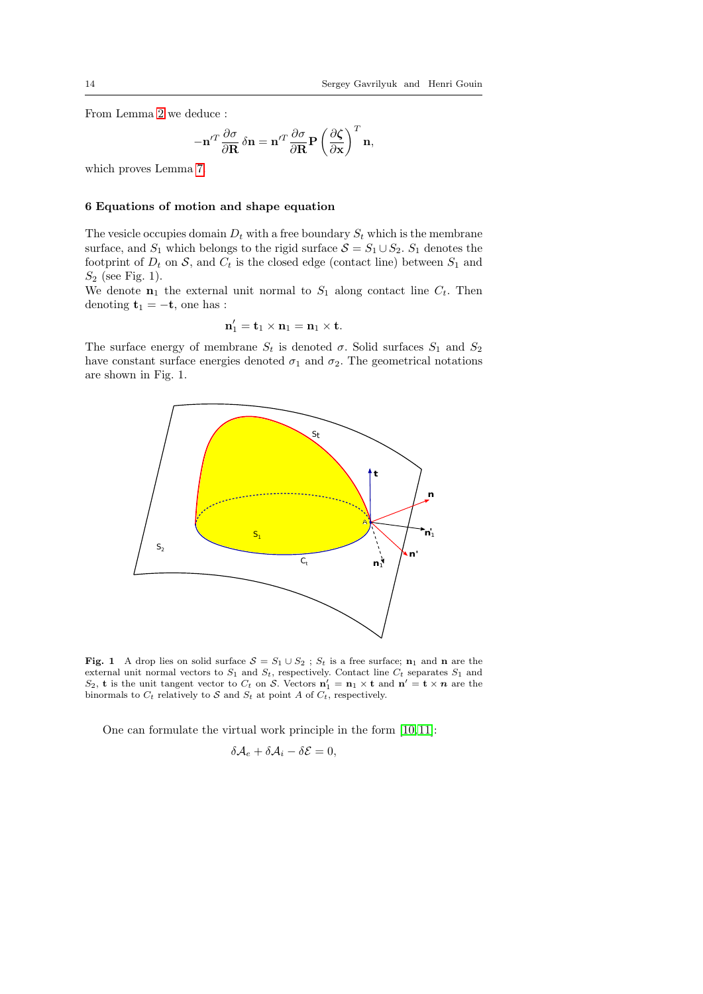From Lemma [2](#page-7-1) we deduce :

$$
-\mathbf{n}^{\prime T} \frac{\partial \sigma}{\partial \mathbf{R}} \, \delta \mathbf{n} = \mathbf{n}^{\prime T} \frac{\partial \sigma}{\partial \mathbf{R}} \mathbf{P} \left( \frac{\partial \zeta}{\partial \mathbf{x}} \right)^T \mathbf{n},
$$

which proves Lemma [7.](#page-12-0)

# 6 Equations of motion and shape equation

The vesicle occupies domain  $D_t$  with a free boundary  $S_t$  which is the membrane surface, and  $S_1$  which belongs to the rigid surface  $S = S_1 \cup S_2$ .  $S_1$  denotes the footprint of  $D_t$  on  $S$ , and  $C_t$  is the closed edge (contact line) between  $S_1$  and  $S_2$  (see Fig. 1).

We denote  $n_1$  the external unit normal to  $S_1$  along contact line  $C_t$ . Then denoting  $t_1 = -t$ , one has :

$$
\mathbf{n}'_1 = \mathbf{t}_1 \times \mathbf{n}_1 = \mathbf{n}_1 \times \mathbf{t}.
$$

The surface energy of membrane  $S_t$  is denoted  $\sigma$ . Solid surfaces  $S_1$  and  $S_2$ have constant surface energies denoted  $\sigma_1$  and  $\sigma_2$ . The geometrical notations are shown in Fig. 1.



<span id="page-13-0"></span>Fig. 1 A drop lies on solid surface  $S = S_1 \cup S_2$ ;  $S_t$  is a free surface; n<sub>1</sub> and n are the external unit normal vectors to  $S_1$  and  $S_t$ , respectively. Contact line  $C_t$  separates  $S_1$  and  $S_2$ , **t** is the unit tangent vector to  $C_t$  on S. Vectors  $n'_1 = n_1 \times \mathbf{t}$  and  $n' = \mathbf{t} \times n$  are the binormals to  $C_t$  relatively to S and  $S_t$  at point A of  $C_t$ , respectively.

One can formulate the virtual work principle in the form [\[10,](#page-24-10) [11\]](#page-24-11):

$$
\delta \mathcal{A}_e + \delta \mathcal{A}_i - \delta \mathcal{E} = 0,
$$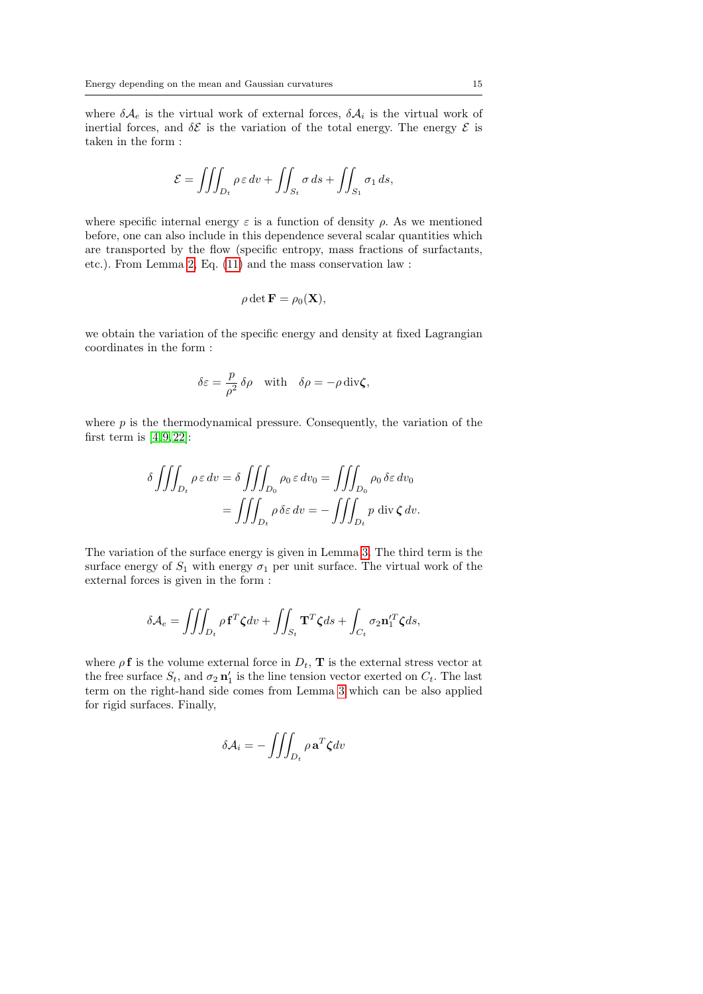where  $\delta A_e$  is the virtual work of external forces,  $\delta A_i$  is the virtual work of inertial forces, and  $\delta \mathcal{E}$  is the variation of the total energy. The energy  $\mathcal{E}$  is taken in the form :

$$
\mathcal{E} = \iiint_{D_t} \rho \,\varepsilon \, dv + \iint_{S_t} \sigma \, ds + \iint_{S_1} \sigma_1 \, ds,
$$

where specific internal energy  $\varepsilon$  is a function of density  $\rho$ . As we mentioned before, one can also include in this dependence several scalar quantities which are transported by the flow (specific entropy, mass fractions of surfactants, etc.). From Lemma [2,](#page-7-1) Eq. [\(11\)](#page-7-0) and the mass conservation law :

$$
\rho \det \mathbf{F} = \rho_0(\mathbf{X}),
$$

we obtain the variation of the specific energy and density at fixed Lagrangian coordinates in the form :

$$
\delta \varepsilon = \frac{p}{\rho^2} \, \delta \rho \quad \text{with} \quad \delta \rho = -\rho \, \text{div} \zeta,
$$

where  $p$  is the thermodynamical pressure. Consequently, the variation of the first term is  $[4, 9, 22]$  $[4, 9, 22]$  $[4, 9, 22]$ :

$$
\delta \iiint_{D_t} \rho \varepsilon dv = \delta \iiint_{D_0} \rho_0 \varepsilon dv_0 = \iiint_{D_0} \rho_0 \delta \varepsilon dv_0
$$

$$
= \iiint_{D_t} \rho \delta \varepsilon dv = - \iiint_{D_t} p \operatorname{div} \zeta dv.
$$

The variation of the surface energy is given in Lemma [3.](#page-8-1) The third term is the surface energy of  $S_1$  with energy  $\sigma_1$  per unit surface. The virtual work of the external forces is given in the form :

$$
\delta \mathcal{A}_e = \iiint_{D_t} \rho \mathbf{f}^T \zeta dv + \iint_{S_t} \mathbf{T}^T \zeta ds + \int_{C_t} \sigma_2 \mathbf{n}'_1^T \zeta ds,
$$

where  $\rho$ **f** is the volume external force in  $D_t$ , **T** is the external stress vector at the free surface  $S_t$ , and  $\sigma_2 \mathbf{n}'_1$  is the line tension vector exerted on  $C_t$ . The last term on the right-hand side comes from Lemma [3](#page-8-1) which can be also applied for rigid surfaces. Finally,

$$
\delta \mathcal{A}_i = -\iiint_{D_t} \rho \mathbf{a}^T \zeta dv
$$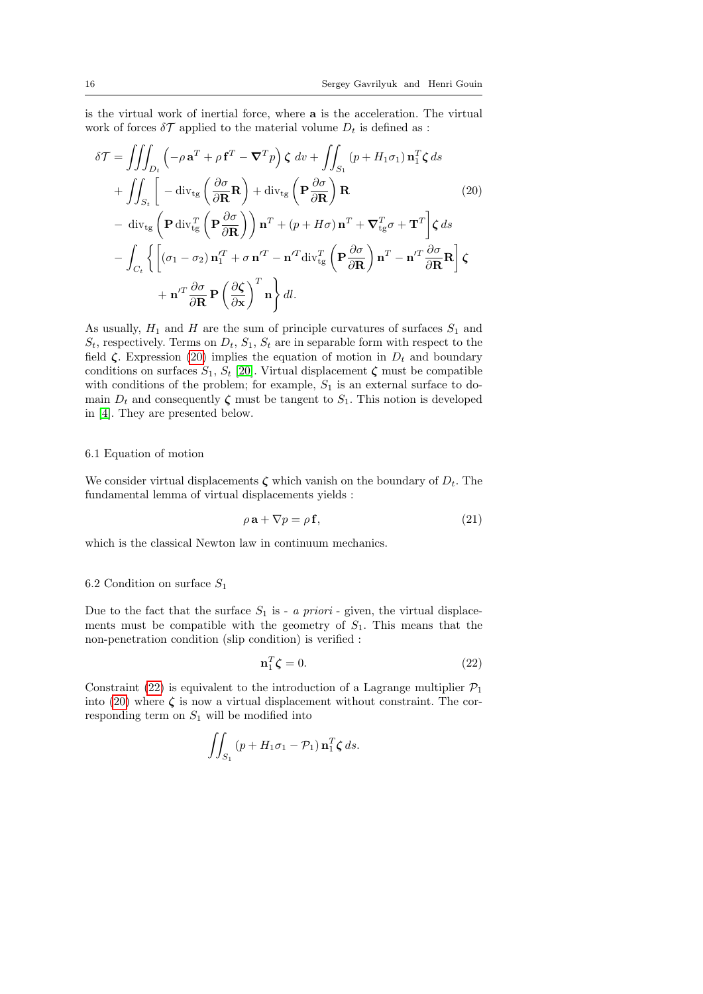is the virtual work of inertial force, where a is the acceleration. The virtual work of forces  $\delta \mathcal{T}$  applied to the material volume  $D_t$  is defined as :

<span id="page-15-0"></span>
$$
\delta \mathcal{T} = \iiint_{D_t} \left( -\rho \mathbf{a}^T + \rho \mathbf{f}^T - \nabla^T p \right) \zeta \, dv + \iint_{S_1} (p + H_1 \sigma_1) \mathbf{n}_1^T \zeta \, ds
$$
  
+ 
$$
\iiint_{S_t} \left[ -\text{div}_{\text{tg}} \left( \frac{\partial \sigma}{\partial \mathbf{R}} \mathbf{R} \right) + \text{div}_{\text{tg}} \left( \mathbf{P} \frac{\partial \sigma}{\partial \mathbf{R}} \right) \mathbf{R} \qquad (20)
$$
  
- 
$$
\text{div}_{\text{tg}} \left( \mathbf{P} \text{div}_{\text{tg}}^T \left( \mathbf{P} \frac{\partial \sigma}{\partial \mathbf{R}} \right) \right) \mathbf{n}^T + (p + H\sigma) \mathbf{n}^T + \nabla_{\text{tg}}^T \sigma + \mathbf{T}^T \right] \zeta \, ds
$$
  
- 
$$
\int_{C_t} \left\{ \left[ (\sigma_1 - \sigma_2) \mathbf{n}_1^T + \sigma \mathbf{n}'^T - \mathbf{n}'^T \text{div}_{\text{tg}}^T \left( \mathbf{P} \frac{\partial \sigma}{\partial \mathbf{R}} \right) \mathbf{n}^T - \mathbf{n}'^T \frac{\partial \sigma}{\partial \mathbf{R}} \mathbf{R} \right] \zeta
$$
  
+ 
$$
\mathbf{n}'^T \frac{\partial \sigma}{\partial \mathbf{R}} \mathbf{P} \left( \frac{\partial \zeta}{\partial \mathbf{x}} \right)^T \mathbf{n} \right\} dl.
$$

As usually,  $H_1$  and H are the sum of principle curvatures of surfaces  $S_1$  and  $S_t$ , respectively. Terms on  $D_t$ ,  $S_1$ ,  $S_t$  are in separable form with respect to the field  $\zeta$ . Expression [\(20\)](#page-15-0) implies the equation of motion in  $D_t$  and boundary conditions on surfaces  $S_1$ ,  $S_t$  [\[20\]](#page-25-9). Virtual displacement  $\zeta$  must be compatible with conditions of the problem; for example,  $S_1$  is an external surface to domain  $D_t$  and consequently  $\zeta$  must be tangent to  $S_1$ . This notion is developed in [\[4\]](#page-24-12). They are presented below.

#### 6.1 Equation of motion

We consider virtual displacements  $\zeta$  which vanish on the boundary of  $D_t$ . The fundamental lemma of virtual displacements yields :

<span id="page-15-2"></span>
$$
\rho \mathbf{a} + \nabla p = \rho \mathbf{f},\tag{21}
$$

which is the classical Newton law in continuum mechanics.

### 6.2 Condition on surface  $S_1$

Due to the fact that the surface  $S_1$  is - a priori - given, the virtual displacements must be compatible with the geometry of  $S_1$ . This means that the non-penetration condition (slip condition) is verified :

<span id="page-15-1"></span>
$$
\mathbf{n}_1^T \boldsymbol{\zeta} = 0. \tag{22}
$$

Constraint [\(22\)](#page-15-1) is equivalent to the introduction of a Lagrange multiplier  $\mathcal{P}_1$ into [\(20\)](#page-15-0) where  $\zeta$  is now a virtual displacement without constraint. The corresponding term on  $S_1$  will be modified into

$$
\iint_{S_1} (p + H_1 \sigma_1 - \mathcal{P}_1) \mathbf{n}_1^T \zeta ds.
$$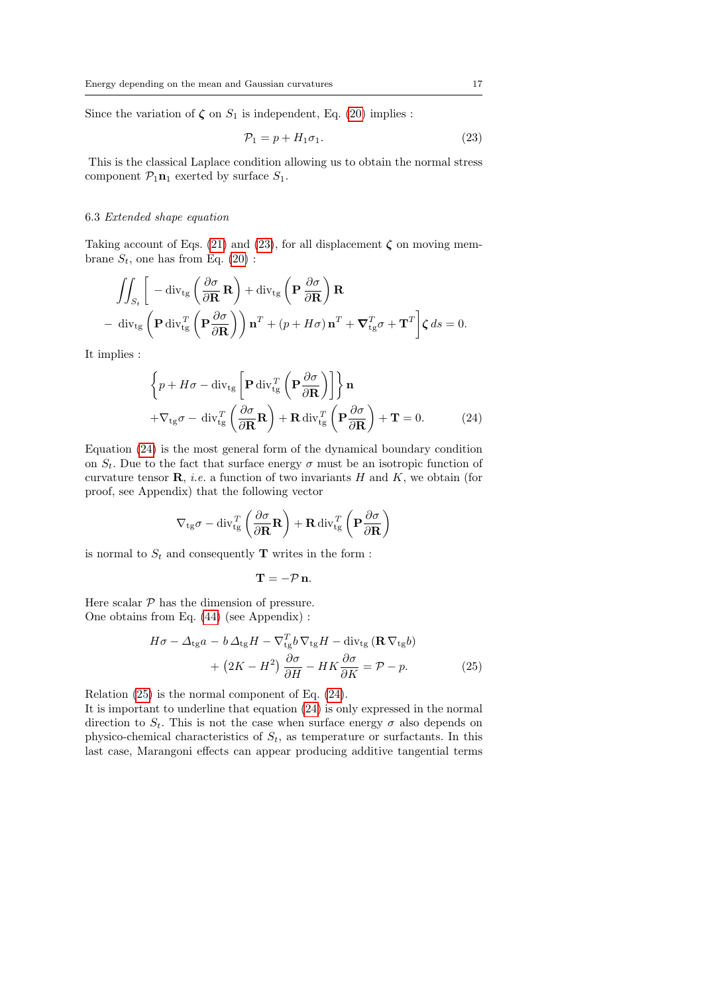Since the variation of  $\zeta$  on  $S_1$  is independent, Eq. [\(20\)](#page-15-0) implies :

<span id="page-16-0"></span>
$$
\mathcal{P}_1 = p + H_1 \sigma_1. \tag{23}
$$

This is the classical Laplace condition allowing us to obtain the normal stress component  $\mathcal{P}_1\mathbf{n}_1$  exerted by surface  $S_1$ .

#### 6.3 Extended shape equation

Taking account of Eqs. [\(21\)](#page-15-2) and [\(23\)](#page-16-0), for all displacement  $\zeta$  on moving membrane  $S_t$ , one has from Eq. [\(20\)](#page-15-0):

$$
\iint_{S_t} \left[ -\operatorname{div}_{\mathfrak{t}_g} \left( \frac{\partial \sigma}{\partial \mathbf{R}} \mathbf{R} \right) + \operatorname{div}_{\mathfrak{t}_g} \left( \mathbf{P} \frac{\partial \sigma}{\partial \mathbf{R}} \right) \mathbf{R} \right]
$$
  
- 
$$
\operatorname{div}_{\mathfrak{t}_g} \left( \mathbf{P} \operatorname{div}_{\mathfrak{t}_g}^T \left( \mathbf{P} \frac{\partial \sigma}{\partial \mathbf{R}} \right) \right) \mathbf{n}^T + (p + H\sigma) \mathbf{n}^T + \nabla_{\mathfrak{t}_g}^T \sigma + \mathbf{T}^T \right] \zeta ds = 0.
$$

It implies :

<span id="page-16-1"></span>
$$
\left\{ p + H\sigma - \operatorname{div}_{\rm tg} \left[ \mathbf{P} \operatorname{div}_{\rm tg}^T \left( \mathbf{P} \frac{\partial \sigma}{\partial \mathbf{R}} \right) \right] \right\} \mathbf{n} + \nabla_{\rm tg} \sigma - \operatorname{div}_{\rm tg}^T \left( \frac{\partial \sigma}{\partial \mathbf{R}} \mathbf{R} \right) + \mathbf{R} \operatorname{div}_{\rm tg}^T \left( \mathbf{P} \frac{\partial \sigma}{\partial \mathbf{R}} \right) + \mathbf{T} = 0.
$$
 (24)

Equation [\(24\)](#page-16-1) is the most general form of the dynamical boundary condition on  $S_t$ . Due to the fact that surface energy  $\sigma$  must be an isotropic function of curvature tensor  $\mathbf{R}$ , *i.e.* a function of two invariants  $H$  and  $K$ , we obtain (for proof, see Appendix) that the following vector

$$
\nabla_{\text{tg}} \sigma - \text{div}_{\text{tg}}^T \left( \frac{\partial \sigma}{\partial \mathbf{R}} \mathbf{R} \right) + \mathbf{R} \, \text{div}_{\text{tg}}^T \left( \mathbf{P} \frac{\partial \sigma}{\partial \mathbf{R}} \right)
$$

is normal to  $S_t$  and consequently **T** writes in the form :

$$
\mathbf{T}=-\mathcal{P}\,\mathbf{n}.
$$

Here scalar  $P$  has the dimension of pressure. One obtains from Eq. [\(44\)](#page-26-0) (see Appendix) :

<span id="page-16-2"></span>
$$
H\sigma - \Delta_{\text{tg}}a - b\,\Delta_{\text{tg}}H - \nabla_{\text{tg}}^T b\,\nabla_{\text{tg}}H - \text{div}_{\text{tg}}(\mathbf{R}\,\nabla_{\text{tg}}b) + (2K - H^2)\frac{\partial\sigma}{\partial H} - HK\frac{\partial\sigma}{\partial K} = \mathcal{P} - p.
$$
 (25)

Relation [\(25\)](#page-16-2) is the normal component of Eq. [\(24\)](#page-16-1).

It is important to underline that equation [\(24\)](#page-16-1) is only expressed in the normal direction to  $S_t$ . This is not the case when surface energy  $\sigma$  also depends on physico-chemical characteristics of  $S_t$ , as temperature or surfactants. In this last case, Marangoni effects can appear producing additive tangential terms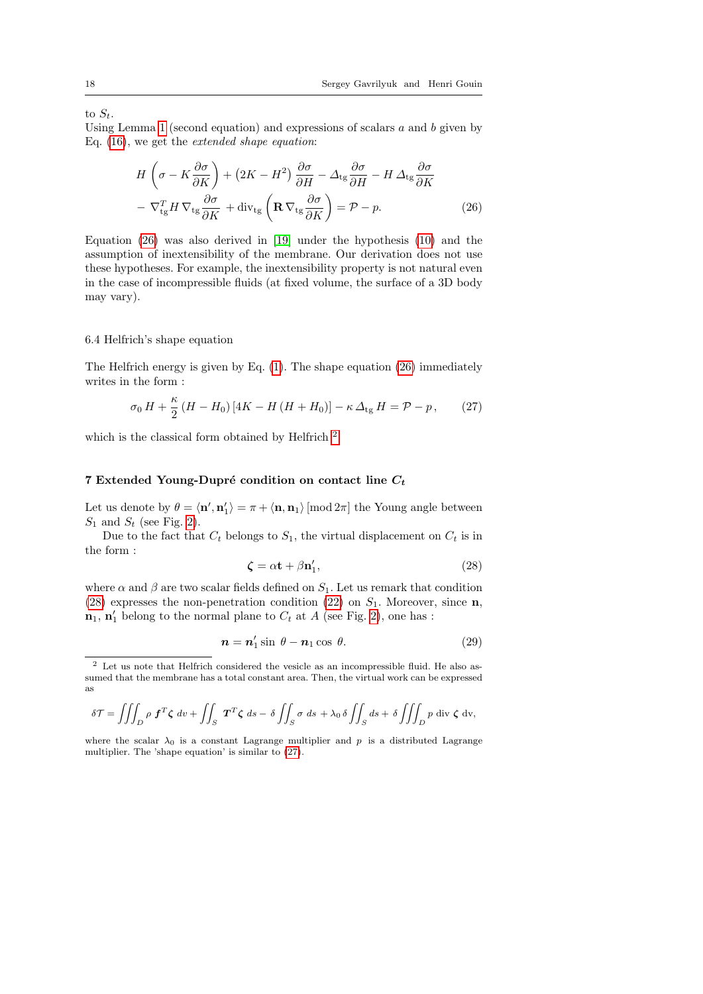to  $S_t$ .

Using Lemma [1](#page-5-1) (second equation) and expressions of scalars  $a$  and  $b$  given by Eq. [\(16\)](#page-10-2), we get the extended shape equation:

<span id="page-17-0"></span>
$$
H\left(\sigma - K\frac{\partial\sigma}{\partial K}\right) + (2K - H^2)\frac{\partial\sigma}{\partial H} - \Delta_{\text{tg}}\frac{\partial\sigma}{\partial H} - H\Delta_{\text{tg}}\frac{\partial\sigma}{\partial K} - \nabla_{\text{tg}}^T H \nabla_{\text{tg}}\frac{\partial\sigma}{\partial K} + \text{div}_{\text{tg}}\left(\mathbf{R}\nabla_{\text{tg}}\frac{\partial\sigma}{\partial K}\right) = \mathcal{P} - p.
$$
 (26)

Equation [\(26\)](#page-17-0) was also derived in [\[19\]](#page-25-0) under the hypothesis [\(10\)](#page-5-0) and the assumption of inextensibility of the membrane. Our derivation does not use these hypotheses. For example, the inextensibility property is not natural even in the case of incompressible fluids (at fixed volume, the surface of a 3D body may vary).

#### 6.4 Helfrich's shape equation

The Helfrich energy is given by Eq. [\(1\)](#page-1-0). The shape equation [\(26\)](#page-17-0) immediately writes in the form :

<span id="page-17-3"></span>
$$
\sigma_0 H + \frac{\kappa}{2} \left( H - H_0 \right) \left[ 4K - H \left( H + H_0 \right) \right] - \kappa \Delta_{\text{tg}} H = \mathcal{P} - p \,, \tag{27}
$$

which is the classical form obtained by Helfrich  $2$ .

### 7 Extended Young-Dupré condition on contact line  $C_t$

Let us denote by  $\theta = \langle \mathbf{n}', \mathbf{n}'_1 \rangle = \pi + \langle \mathbf{n}, \mathbf{n}_1 \rangle$  [mod  $2\pi$ ] the Young angle between  $S_1$  and  $S_t$  (see Fig. [2\)](#page-18-0).

Due to the fact that  $C_t$  belongs to  $S_1$ , the virtual displacement on  $C_t$  is in the form :

<span id="page-17-2"></span>
$$
\zeta = \alpha \mathbf{t} + \beta \mathbf{n}'_1,\tag{28}
$$

where  $\alpha$  and  $\beta$  are two scalar fields defined on  $S_1$ . Let us remark that condition [\(28\)](#page-17-2) expresses the non-penetration condition [\(22\)](#page-15-1) on  $S_1$ . Moreover, since **n**,  $\mathbf{n}_1$ ,  $\mathbf{n}'_1$  belong to the normal plane to  $C_t$  at A (see Fig. [2\)](#page-18-0), one has :

<span id="page-17-4"></span>
$$
n = n'_1 \sin \theta - n_1 \cos \theta. \tag{29}
$$

$$
\delta \mathcal{T} = \iiint_D \rho \, \mathbf{f}^T \mathbf{\zeta} \, dv + \iint_S \, \mathbf{T}^T \mathbf{\zeta} \, ds - \delta \iint_S \sigma \, ds + \lambda_0 \, \delta \iint_S ds + \delta \iiint_D p \, \text{div } \mathbf{\zeta} \, dv,
$$

where the scalar  $\lambda_0$  is a constant Lagrange multiplier and p is a distributed Lagrange multiplier. The 'shape equation' is similar to [\(27\)](#page-17-3).

<span id="page-17-1"></span><sup>2</sup> Let us note that Helfrich considered the vesicle as an incompressible fluid. He also assumed that the membrane has a total constant area. Then, the virtual work can be expressed as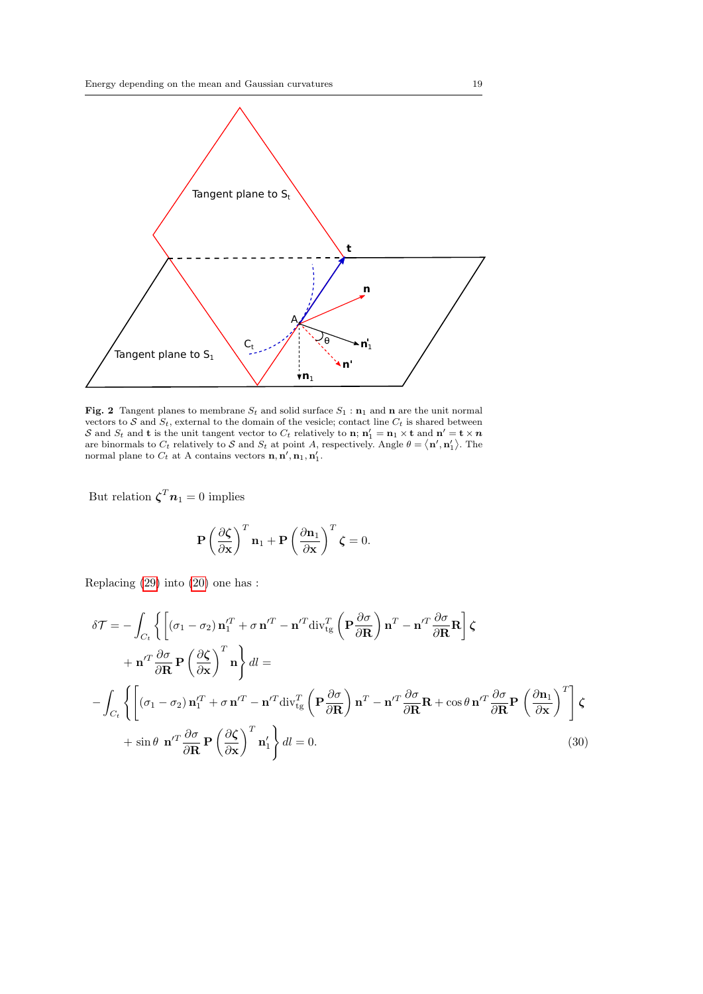

<span id="page-18-0"></span>Fig. 2 Tangent planes to membrane  $S_t$  and solid surface  $S_1$  :  $n_1$  and n are the unit normal vectors to S and  $S_t$ , external to the domain of the vesicle; contact line  $C_t$  is shared between S and  $S_t$  and **t** is the unit tangent vector to  $C_t$  relatively to **n**;  $n'_1 = n_1 \times t$  and  $n' = t \times n$ are binormals to  $C_t$  relatively to S and  $S_t$  at point A, respectively. Angle  $\theta = \langle \mathbf{n}', \mathbf{n}'_1 \rangle$ . The normal plane to  $C_t$  at A contains vectors  $\mathbf{n}, \mathbf{n}', \mathbf{n}_1, \mathbf{n}'_1$ .

But relation  $\boldsymbol{\zeta}^T \boldsymbol{n}_1 = 0$  implies

$$
\mathbf{P}\left(\frac{\partial \boldsymbol{\zeta}}{\partial \mathbf{x}}\right)^T \mathbf{n}_1 + \mathbf{P}\left(\frac{\partial \mathbf{n}_1}{\partial \mathbf{x}}\right)^T \boldsymbol{\zeta} = 0.
$$

Replacing [\(29\)](#page-17-4) into [\(20\)](#page-15-0) one has :

<span id="page-18-1"></span>
$$
\delta \mathcal{T} = -\int_{C_t} \left\{ \left[ (\sigma_1 - \sigma_2) \mathbf{n}'_1 + \sigma \mathbf{n}'^T - \mathbf{n}'^T \operatorname{div}_{\mathfrak{t}g}^T \left( \mathbf{P} \frac{\partial \sigma}{\partial \mathbf{R}} \right) \mathbf{n}^T - \mathbf{n}'^T \frac{\partial \sigma}{\partial \mathbf{R}} \mathbf{R} \right] \zeta + \mathbf{n}'^T \frac{\partial \sigma}{\partial \mathbf{R}} \mathbf{P} \left( \frac{\partial \zeta}{\partial \mathbf{x}} \right)^T \mathbf{n} \right\} dl = - \int_{C_t} \left\{ \left[ (\sigma_1 - \sigma_2) \mathbf{n}'_1 + \sigma \mathbf{n}'^T - \mathbf{n}'^T \operatorname{div}_{\mathfrak{t}g}^T \left( \mathbf{P} \frac{\partial \sigma}{\partial \mathbf{R}} \right) \mathbf{n}^T - \mathbf{n}'^T \frac{\partial \sigma}{\partial \mathbf{R}} \mathbf{R} + \cos \theta \mathbf{n}'^T \frac{\partial \sigma}{\partial \mathbf{R}} \mathbf{P} \left( \frac{\partial \mathbf{n}_1}{\partial \mathbf{x}} \right)^T \right] \zeta + \sin \theta \mathbf{n}'^T \frac{\partial \sigma}{\partial \mathbf{R}} \mathbf{P} \left( \frac{\partial \zeta}{\partial \mathbf{x}} \right)^T \mathbf{n}'_1 \right\} dl = 0.
$$
 (30)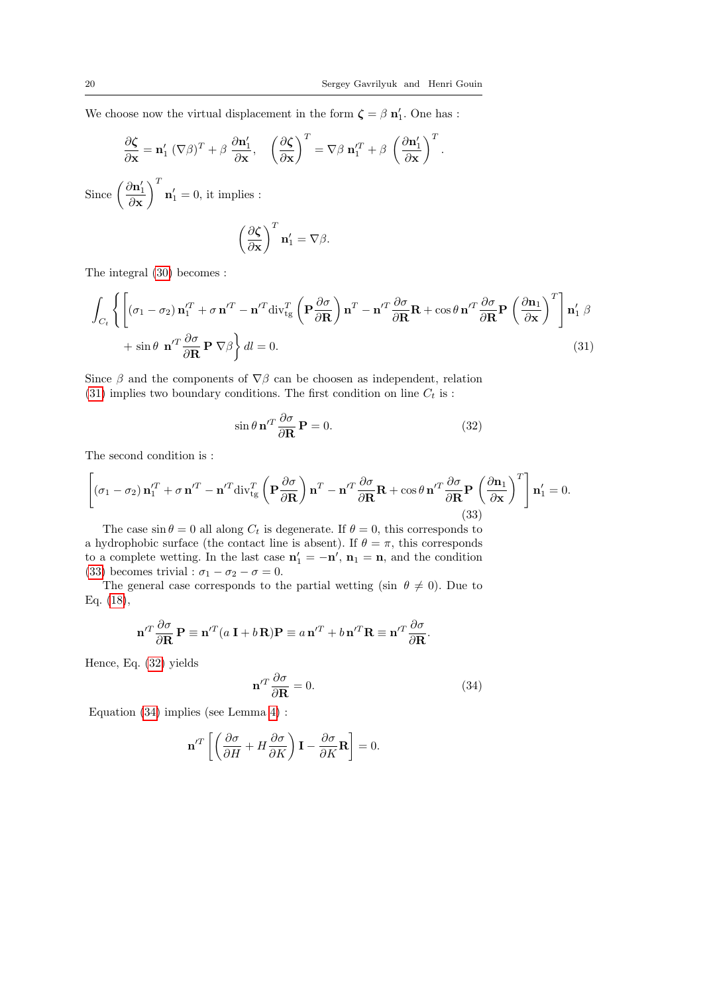We choose now the virtual displacement in the form  $\boldsymbol{\zeta} = \beta \, \mathbf{n}'_1$ . One has :

$$
\frac{\partial \zeta}{\partial \mathbf{x}} = \mathbf{n}'_1 (\nabla \beta)^T + \beta \frac{\partial \mathbf{n}'_1}{\partial \mathbf{x}}, \quad \left(\frac{\partial \zeta}{\partial \mathbf{x}}\right)^T = \nabla \beta \mathbf{n}'_1 + \beta \left(\frac{\partial \mathbf{n}'_1}{\partial \mathbf{x}}\right)^T.
$$
  
Since  $\left(\frac{\partial \mathbf{n}'_1}{\partial \mathbf{x}}\right)^T \mathbf{n}'_1 = 0$ , it implies :  
 $\left(\frac{\partial \zeta}{\partial \mathbf{x}}\right)^T \mathbf{n}'_1 = \nabla \beta.$ 

The integral [\(30\)](#page-18-1) becomes :

<span id="page-19-0"></span>
$$
\int_{C_t} \left\{ \left[ (\sigma_1 - \sigma_2) \mathbf{n}_1^{\prime T} + \sigma \mathbf{n}^{\prime T} - \mathbf{n}^{\prime T} \operatorname{div}_{\rm tg}^T \left( \mathbf{P} \frac{\partial \sigma}{\partial \mathbf{R}} \right) \mathbf{n}^T - \mathbf{n}^{\prime T} \frac{\partial \sigma}{\partial \mathbf{R}} \mathbf{R} + \cos \theta \mathbf{n}^{\prime T} \frac{\partial \sigma}{\partial \mathbf{R}} \mathbf{P} \left( \frac{\partial \mathbf{n}_1}{\partial \mathbf{x}} \right)^T \right] \mathbf{n}_1^{\prime} \beta
$$
  
+  $\sin \theta \mathbf{n}^{\prime T} \frac{\partial \sigma}{\partial \mathbf{R}} \mathbf{P} \nabla \beta \right\} dl = 0.$  (31)

Since  $\beta$  and the components of  $\nabla \beta$  can be choosen as independent, relation [\(31\)](#page-19-0) implies two boundary conditions. The first condition on line  $C_t$  is :

<span id="page-19-2"></span>
$$
\sin \theta \, \mathbf{n}'^T \frac{\partial \sigma}{\partial \mathbf{R}} \, \mathbf{P} = 0. \tag{32}
$$

The second condition is :

<span id="page-19-1"></span>
$$
\left[ \left( \sigma_1 - \sigma_2 \right) \mathbf{n}_1^{\prime T} + \sigma \mathbf{n}^{\prime T} - \mathbf{n}^{\prime T} \text{div}_{\text{tg}}^T \left( \mathbf{P} \frac{\partial \sigma}{\partial \mathbf{R}} \right) \mathbf{n}^T - \mathbf{n}^{\prime T} \frac{\partial \sigma}{\partial \mathbf{R}} \mathbf{R} + \cos \theta \mathbf{n}^{\prime T} \frac{\partial \sigma}{\partial \mathbf{R}} \mathbf{P} \left( \frac{\partial \mathbf{n}_1}{\partial \mathbf{x}} \right)^T \right] \mathbf{n}_1^{\prime} = 0.
$$
\n(33)

The case  $\sin \theta = 0$  all along  $C_t$  is degenerate. If  $\theta = 0$ , this corresponds to a hydrophobic surface (the contact line is absent). If  $\theta = \pi$ , this corresponds to a complete wetting. In the last case  $\mathbf{n}'_1 = -\mathbf{n}'$ ,  $\mathbf{n}_1 = \mathbf{n}$ , and the condition [\(33\)](#page-19-1) becomes trivial :  $\sigma_1 - \sigma_2 - \sigma = 0$ .

The general case corresponds to the partial wetting (sin  $\theta \neq 0$ ). Due to Eq. [\(18\)](#page-10-3),

$$
\mathbf{n}'^T \frac{\partial \sigma}{\partial \mathbf{R}} \mathbf{P} \equiv \mathbf{n}'^T (a \mathbf{I} + b \mathbf{R}) \mathbf{P} \equiv a \mathbf{n}'^T + b \mathbf{n}'^T \mathbf{R} \equiv \mathbf{n}'^T \frac{\partial \sigma}{\partial \mathbf{R}}.
$$

Hence, Eq. [\(32\)](#page-19-2) yields

<span id="page-19-3"></span>
$$
\mathbf{n}'^T \frac{\partial \sigma}{\partial \mathbf{R}} = 0. \tag{34}
$$

Equation [\(34\)](#page-19-3) implies (see Lemma [4\)](#page-10-4) :

$$
\mathbf{n}'^T \left[ \left( \frac{\partial \sigma}{\partial H} + H \frac{\partial \sigma}{\partial K} \right) \mathbf{I} - \frac{\partial \sigma}{\partial K} \mathbf{R} \right] = 0.
$$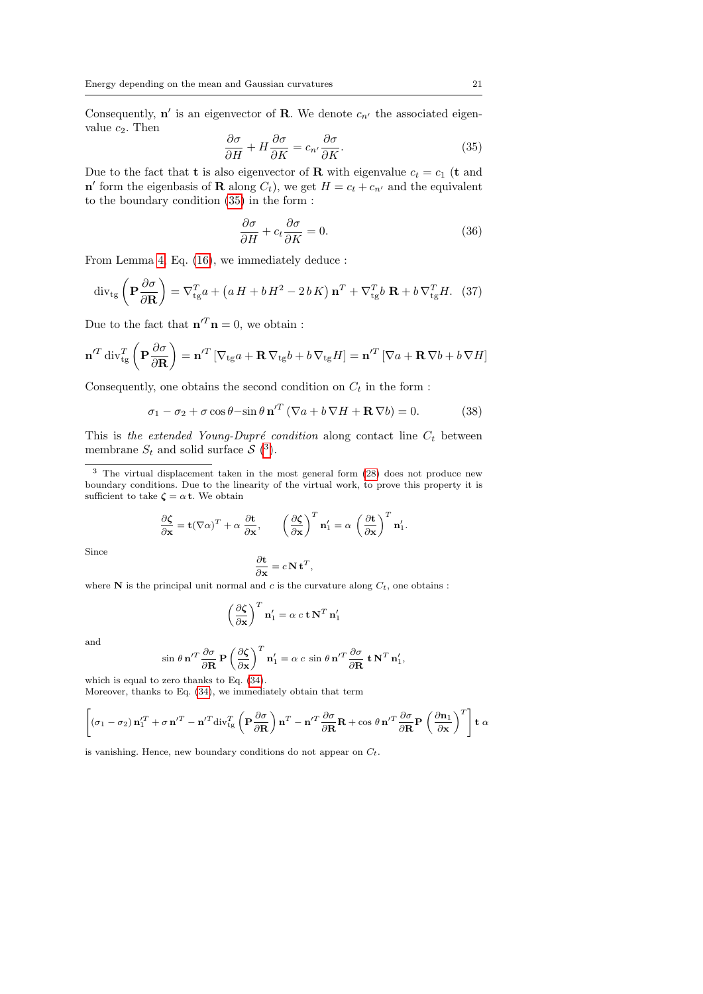Consequently,  $\mathbf{n}'$  is an eigenvector of **R**. We denote  $c_{n'}$  the associated eigenvalue  $c_2$ . Then

<span id="page-20-0"></span>
$$
\frac{\partial \sigma}{\partial H} + H \frac{\partial \sigma}{\partial K} = c_{n'} \frac{\partial \sigma}{\partial K}.
$$
 (35)

Due to the fact that **t** is also eigenvector of **R** with eigenvalue  $c_t = c_1$  (**t** and  $\mathbf{n}'$  form the eigenbasis of **R** along  $C_t$ ), we get  $H = c_t + c_{n'}$  and the equivalent to the boundary condition [\(35\)](#page-20-0) in the form :

<span id="page-20-3"></span>
$$
\frac{\partial \sigma}{\partial H} + c_t \frac{\partial \sigma}{\partial K} = 0.
$$
\n(36)

From Lemma [4,](#page-10-4) Eq. [\(16\)](#page-10-2), we immediately deduce :

$$
\operatorname{div}_{\operatorname{tg}}\left(\mathbf{P}\frac{\partial\sigma}{\partial\mathbf{R}}\right) = \nabla_{\operatorname{tg}}^T a + \left(a\,H + b\,H^2 - 2\,b\,K\right)\mathbf{n}^T + \nabla_{\operatorname{tg}}^T b\,\mathbf{R} + b\,\nabla_{\operatorname{tg}}^T H.\tag{37}
$$

Due to the fact that  $\mathbf{n}'^T \mathbf{n} = 0$ , we obtain:

$$
\mathbf{n}'^{T} \operatorname{div}_{\rm tg}^{T} \left( \mathbf{P} \frac{\partial \sigma}{\partial \mathbf{R}} \right) = \mathbf{n}'^{T} \left[ \nabla_{\rm tg} a + \mathbf{R} \, \nabla_{\rm tg} b + b \, \nabla_{\rm tg} H \right] = \mathbf{n}'^{T} \left[ \nabla a + \mathbf{R} \, \nabla b + b \, \nabla H \right]
$$

Consequently, one obtains the second condition on  $C_t$  in the form :

<span id="page-20-2"></span>
$$
\sigma_1 - \sigma_2 + \sigma \cos \theta - \sin \theta \, \mathbf{n}^{\prime T} \left( \nabla a + b \, \nabla H + \mathbf{R} \, \nabla b \right) = 0. \tag{38}
$$

This is the extended Young-Dupré condition along contact line  $C_t$  between membrane  $S_t$  and solid surface  $S(3)$  $S(3)$  $S(3)$ .

<span id="page-20-1"></span><sup>3</sup> The virtual displacement taken in the most general form [\(28\)](#page-17-2) does not produce new boundary conditions. Due to the linearity of the virtual work, to prove this property it is sufficient to take  $\zeta = \alpha \, t$ . We obtain

$$
\frac{\partial \zeta}{\partial \mathbf{x}} = \mathbf{t} (\nabla \alpha)^T + \alpha \frac{\partial \mathbf{t}}{\partial \mathbf{x}}, \qquad \left(\frac{\partial \zeta}{\partial \mathbf{x}}\right)^T \mathbf{n}'_1 = \alpha \left(\frac{\partial \mathbf{t}}{\partial \mathbf{x}}\right)^T \mathbf{n}'_1.
$$

Since

$$
\frac{\partial \mathbf{t}}{\partial \mathbf{x}} = c \, \mathbf{N} \, \mathbf{t}^T,
$$

where  $N$  is the principal unit normal and c is the curvature along  $C_t$ , one obtains :

$$
\left(\frac{\partial \zeta}{\partial x}\right)^T \mathbf{n}'_1 = \alpha \ c \mathbf{t} \mathbf{N}^T \mathbf{n}'_1
$$

and

$$
\sin \theta \mathbf{n}'^T \frac{\partial \sigma}{\partial \mathbf{R}} \mathbf{P} \left( \frac{\partial \zeta}{\partial \mathbf{x}} \right)^T \mathbf{n}'_1 = \alpha c \sin \theta \mathbf{n}'^T \frac{\partial \sigma}{\partial \mathbf{R}} \mathbf{t} \mathbf{N}^T \mathbf{n}'_1,
$$

which is equal to zero thanks to Eq. [\(34\)](#page-19-3). Moreover, thanks to Eq. [\(34\)](#page-19-3), we immediately obtain that term

$$
\left[ \left( \sigma_1 - \sigma_2 \right) \mathbf{n}_1^{\prime T} + \sigma \mathbf{n}^{\prime T} - \mathbf{n}^{\prime T} \operatorname{div}_{\rm tg}^T \left( \mathbf{P} \frac{\partial \sigma}{\partial \mathbf{R}} \right) \mathbf{n}^T - \mathbf{n}^{\prime T} \frac{\partial \sigma}{\partial \mathbf{R}} \mathbf{R} + \cos \theta \mathbf{n}^{\prime T} \frac{\partial \sigma}{\partial \mathbf{R}} \mathbf{P} \left( \frac{\partial \mathbf{n}_1}{\partial \mathbf{x}} \right)^T \right] \mathbf{t} \alpha
$$

is vanishing. Hence, new boundary conditions do not appear on  $C_t$ .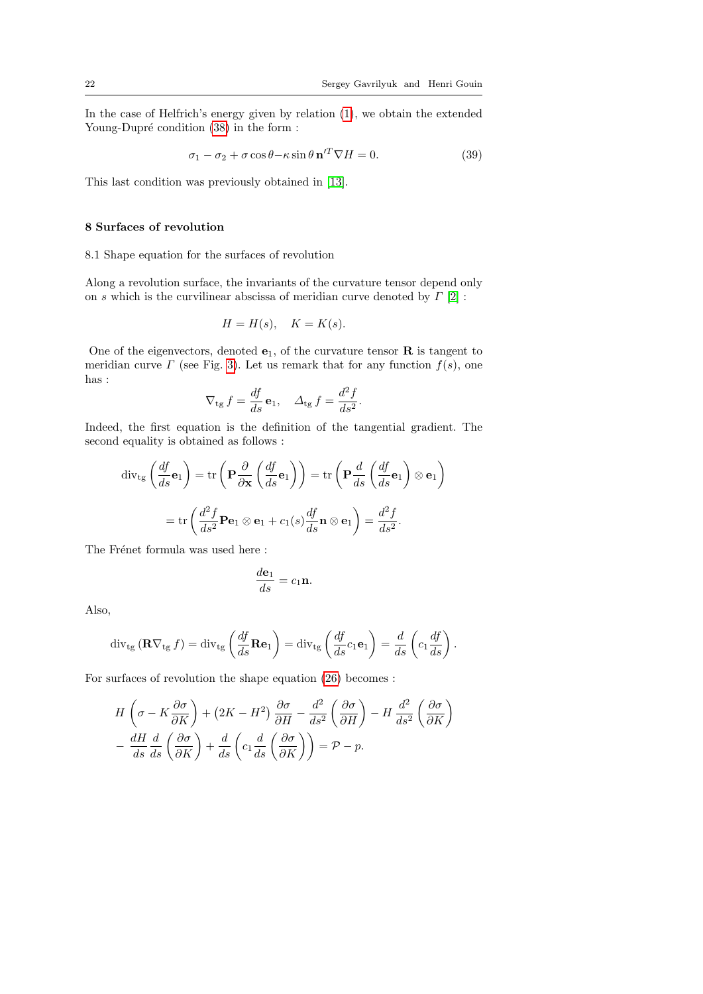In the case of Helfrich's energy given by relation [\(1\)](#page-1-0), we obtain the extended Young-Dupré condition  $(38)$  in the form :

<span id="page-21-0"></span>
$$
\sigma_1 - \sigma_2 + \sigma \cos \theta - \kappa \sin \theta \, \mathbf{n}^{\prime T} \nabla H = 0. \tag{39}
$$

This last condition was previously obtained in [\[13\]](#page-24-7).

# 8 Surfaces of revolution

### 8.1 Shape equation for the surfaces of revolution

Along a revolution surface, the invariants of the curvature tensor depend only on s which is the curvilinear abscissa of meridian curve denoted by  $\Gamma$  [\[2\]](#page-24-13) :

$$
H = H(s), \quad K = K(s).
$$

One of the eigenvectors, denoted  $e_1$ , of the curvature tensor **R** is tangent to meridian curve  $\Gamma$  (see Fig. [3\)](#page-22-0). Let us remark that for any function  $f(s)$ , one has :

$$
\nabla_{\rm tg} f = \frac{df}{ds} \mathbf{e}_1, \quad \Delta_{\rm tg} f = \frac{d^2 f}{ds^2}.
$$

Indeed, the first equation is the definition of the tangential gradient. The second equality is obtained as follows :

$$
\operatorname{div}_{\operatorname{tg}}\left(\frac{df}{ds}\mathbf{e}_{1}\right) = \operatorname{tr}\left(\mathbf{P}\frac{\partial}{\partial\mathbf{x}}\left(\frac{df}{ds}\mathbf{e}_{1}\right)\right) = \operatorname{tr}\left(\mathbf{P}\frac{d}{ds}\left(\frac{df}{ds}\mathbf{e}_{1}\right)\otimes\mathbf{e}_{1}\right)
$$

$$
= \operatorname{tr}\left(\frac{d^{2}f}{ds^{2}}\mathbf{P}\mathbf{e}_{1}\otimes\mathbf{e}_{1} + c_{1}(s)\frac{df}{ds}\mathbf{n}\otimes\mathbf{e}_{1}\right) = \frac{d^{2}f}{ds^{2}}.
$$

The Frénet formula was used here :

$$
\frac{d\mathbf{e}_1}{ds} = c_1 \mathbf{n}.
$$

Also,

$$
\operatorname{div}_{\operatorname{tg}} (\mathbf{R} \nabla_{\operatorname{tg}} f) = \operatorname{div}_{\operatorname{tg}} \left( \frac{df}{ds} \mathbf{R} \mathbf{e}_1 \right) = \operatorname{div}_{\operatorname{tg}} \left( \frac{df}{ds} c_1 \mathbf{e}_1 \right) = \frac{d}{ds} \left( c_1 \frac{df}{ds} \right).
$$

For surfaces of revolution the shape equation [\(26\)](#page-17-0) becomes :

$$
H\left(\sigma - K\frac{\partial\sigma}{\partial K}\right) + (2K - H^2)\frac{\partial\sigma}{\partial H} - \frac{d^2}{ds^2}\left(\frac{\partial\sigma}{\partial H}\right) - H\frac{d^2}{ds^2}\left(\frac{\partial\sigma}{\partial K}\right) - \frac{dH}{ds}\frac{d}{ds}\left(\frac{\partial\sigma}{\partial K}\right) + \frac{d}{ds}\left(c_1\frac{d}{ds}\left(\frac{\partial\sigma}{\partial K}\right)\right) = \mathcal{P} - p.
$$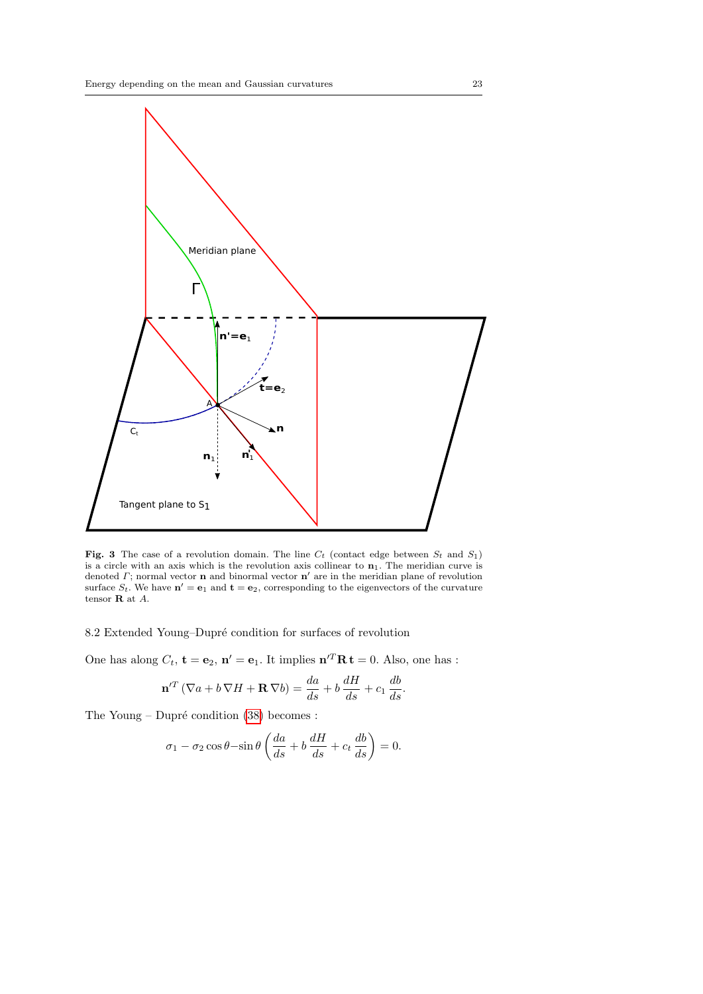

<span id="page-22-0"></span>**Fig. 3** The case of a revolution domain. The line  $C_t$  (contact edge between  $S_t$  and  $S_1$ ) is a circle with an axis which is the revolution axis collinear to  $n_1$ . The meridian curve is denoted  $\Gamma$ ; normal vector **n** and binormal vector **n'** are in the meridian plane of revolution surface  $S_t$ . We have  $\mathbf{n}' = \mathbf{e}_1$  and  $\mathbf{t} = \mathbf{e}_2$ , corresponding to the eigenvectors of the curvature tensor R at A.

8.2 Extended Young–Dupré condition for surfaces of revolution

One has along  $C_t$ ,  $\mathbf{t} = \mathbf{e}_2$ ,  $\mathbf{n}' = \mathbf{e}_1$ . It implies  $\mathbf{n}'^T \mathbf{R} \mathbf{t} = 0$ . Also, one has :

$$
\mathbf{n}'^T \left( \nabla a + b \, \nabla H + \mathbf{R} \, \nabla b \right) = \frac{da}{ds} + b \, \frac{dH}{ds} + c_1 \, \frac{db}{ds}.
$$

The Young – Dupré condition  $(38)$  becomes :

$$
\sigma_1 - \sigma_2 \cos \theta - \sin \theta \left( \frac{da}{ds} + b \frac{dH}{ds} + c_t \frac{db}{ds} \right) = 0.
$$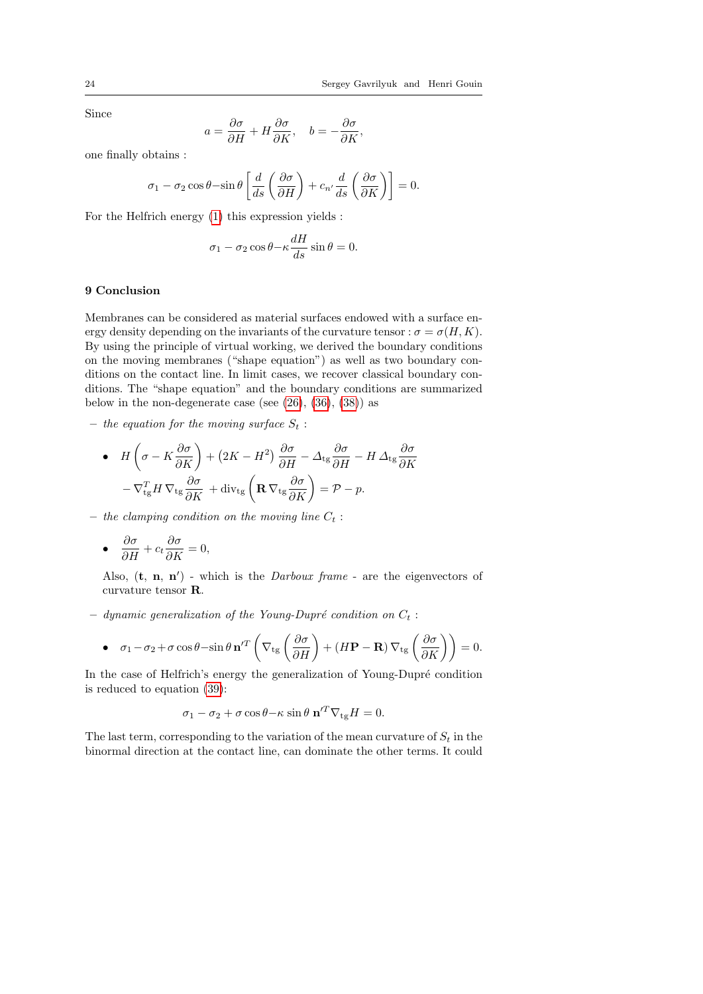Since

$$
a = \frac{\partial \sigma}{\partial H} + H \frac{\partial \sigma}{\partial K}, \quad b = -\frac{\partial \sigma}{\partial K},
$$

one finally obtains :

$$
\sigma_1 - \sigma_2 \cos \theta - \sin \theta \left[ \frac{d}{ds} \left( \frac{\partial \sigma}{\partial H} \right) + c_{n'} \frac{d}{ds} \left( \frac{\partial \sigma}{\partial K} \right) \right] = 0.
$$

For the Helfrich energy [\(1\)](#page-1-0) this expression yields :

$$
\sigma_1 - \sigma_2 \cos \theta - \kappa \frac{dH}{ds} \sin \theta = 0.
$$

## 9 Conclusion

Membranes can be considered as material surfaces endowed with a surface energy density depending on the invariants of the curvature tensor :  $\sigma = \sigma(H, K)$ . By using the principle of virtual working, we derived the boundary conditions on the moving membranes ("shape equation") as well as two boundary conditions on the contact line. In limit cases, we recover classical boundary conditions. The "shape equation" and the boundary conditions are summarized below in the non-degenerate case (see  $(26)$ ,  $(36)$ ,  $(38)$ ) as

– the equation for the moving surface  $S_t$ :

• 
$$
H\left(\sigma - K\frac{\partial\sigma}{\partial K}\right) + (2K - H^2)\frac{\partial\sigma}{\partial H} - \Delta_{\text{tg}}\frac{\partial\sigma}{\partial H} - H\Delta_{\text{tg}}\frac{\partial\sigma}{\partial K}
$$
  

$$
-\nabla_{\text{tg}}^T H \nabla_{\text{tg}}\frac{\partial\sigma}{\partial K} + \text{div}_{\text{tg}}\left(\mathbf{R}\nabla_{\text{tg}}\frac{\partial\sigma}{\partial K}\right) = \mathcal{P} - p.
$$

– the clamping condition on the moving line  $C_t$ :

• 
$$
\frac{\partial \sigma}{\partial H} + c_t \frac{\partial \sigma}{\partial K} = 0,
$$

Also,  $(t, n, n')$  - which is the *Darboux frame* - are the eigenvectors of curvature tensor R.

– dynamic generalization of the Young-Dupré condition on  $C_t$  :

• 
$$
\sigma_1 - \sigma_2 + \sigma \cos \theta - \sin \theta \mathbf{n}'^T \left( \nabla_{\rm tg} \left( \frac{\partial \sigma}{\partial H} \right) + (H\mathbf{P} - \mathbf{R}) \nabla_{\rm tg} \left( \frac{\partial \sigma}{\partial K} \right) \right) = 0.
$$

In the case of Helfrich's energy the generalization of Young-Dupré condition is reduced to equation [\(39\)](#page-21-0):

$$
\sigma_1 - \sigma_2 + \sigma \cos \theta - \kappa \sin \theta \ \mathbf{n}^{\prime T} \nabla_{\text{tg}} H = 0.
$$

The last term, corresponding to the variation of the mean curvature of  $S_t$  in the binormal direction at the contact line, can dominate the other terms. It could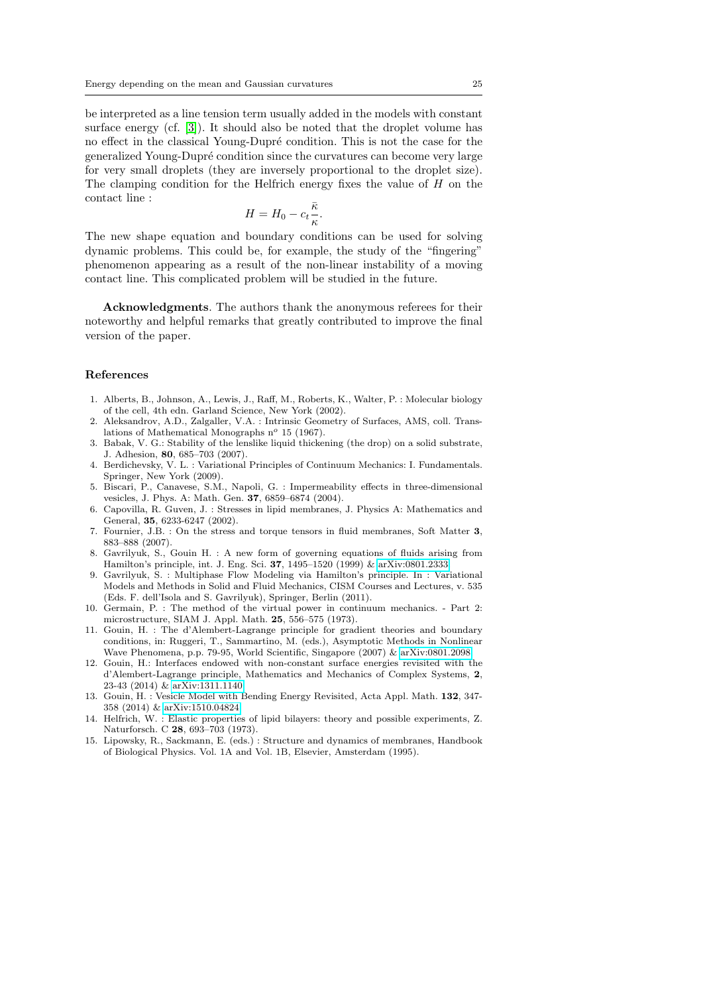be interpreted as a line tension term usually added in the models with constant surface energy (cf. [\[3\]](#page-24-14)). It should also be noted that the droplet volume has no effect in the classical Young-Dupré condition. This is not the case for the generalized Young-Dupré condition since the curvatures can become very large for very small droplets (they are inversely proportional to the droplet size). The clamping condition for the Helfrich energy fixes the value of H on the contact line :

$$
H = H_0 - c_t \frac{\bar{\kappa}}{\kappa}
$$

.

The new shape equation and boundary conditions can be used for solving dynamic problems. This could be, for example, the study of the "fingering" phenomenon appearing as a result of the non-linear instability of a moving contact line. This complicated problem will be studied in the future.

Acknowledgments. The authors thank the anonymous referees for their noteworthy and helpful remarks that greatly contributed to improve the final version of the paper.

#### References

- <span id="page-24-1"></span>1. Alberts, B., Johnson, A., Lewis, J., Raff, M., Roberts, K., Walter, P. : Molecular biology of the cell, 4th edn. Garland Science, New York (2002).
- <span id="page-24-13"></span>2. Aleksandrov, A.D., Zalgaller, V.A. : Intrinsic Geometry of Surfaces, AMS, coll. Translations of Mathematical Monographs n<sup>o</sup> 15 (1967).
- <span id="page-24-14"></span>3. Babak, V. G.: Stability of the lenslike liquid thickening (the drop) on a solid substrate, J. Adhesion, 80, 685–703 (2007).
- <span id="page-24-12"></span>4. Berdichevsky, V. L. : Variational Principles of Continuum Mechanics: I. Fundamentals. Springer, New York (2009).
- <span id="page-24-4"></span>5. Biscari, P., Canavese, S.M., Napoli, G. : Impermeability effects in three-dimensional vesicles, J. Phys. A: Math. Gen. 37, 6859–6874 (2004).
- <span id="page-24-5"></span>6. Capovilla, R. Guven, J. : Stresses in lipid membranes, J. Physics A: Mathematics and General, 35, 6233-6247 (2002).
- <span id="page-24-6"></span>7. Fournier, J.B. : On the stress and torque tensors in fluid membranes, Soft Matter 3, 883–888 (2007).
- <span id="page-24-9"></span>8. Gavrilyuk, S., Gouin H. : A new form of governing equations of fluids arising from Hamilton's principle, int. J. Eng. Sci. 37, 1495–1520 (1999) & [arXiv:0801.2333.](http://arxiv.org/abs/0801.2333)
- <span id="page-24-8"></span>9. Gavrilyuk, S. : Multiphase Flow Modeling via Hamilton's principle. In : Variational Models and Methods in Solid and Fluid Mechanics, CISM Courses and Lectures, v. 535 (Eds. F. dell'Isola and S. Gavrilyuk), Springer, Berlin (2011).
- <span id="page-24-10"></span>10. Germain, P. : The method of the virtual power in continuum mechanics. - Part 2: microstructure, SIAM J. Appl. Math. 25, 556–575 (1973).
- <span id="page-24-11"></span>11. Gouin, H. : The d'Alembert-Lagrange principle for gradient theories and boundary conditions, in: Ruggeri, T., Sammartino, M. (eds.), Asymptotic Methods in Nonlinear Wave Phenomena, p.p. 79-95, World Scientific, Singapore (2007) & [arXiv:0801.2098.](http://arxiv.org/abs/0801.2098)
- <span id="page-24-0"></span>12. Gouin, H.: Interfaces endowed with non-constant surface energies revisited with the d'Alembert-Lagrange principle, Mathematics and Mechanics of Complex Systems, 2, 23-43 (2014) & [arXiv:1311.1140.](http://arxiv.org/abs/1311.1140)
- <span id="page-24-7"></span>13. Gouin, H. : Vesicle Model with Bending Energy Revisited, Acta Appl. Math. 132, 347- 358 (2014) & [arXiv:1510.04824.](http://arxiv.org/abs/1510.04824)
- <span id="page-24-3"></span>14. Helfrich, W. : Elastic properties of lipid bilayers: theory and possible experiments, Z. Naturforsch. C 28, 693–703 (1973).
- <span id="page-24-2"></span>15. Lipowsky, R., Sackmann, E. (eds.) : Structure and dynamics of membranes, Handbook of Biological Physics. Vol. 1A and Vol. 1B, Elsevier, Amsterdam (1995).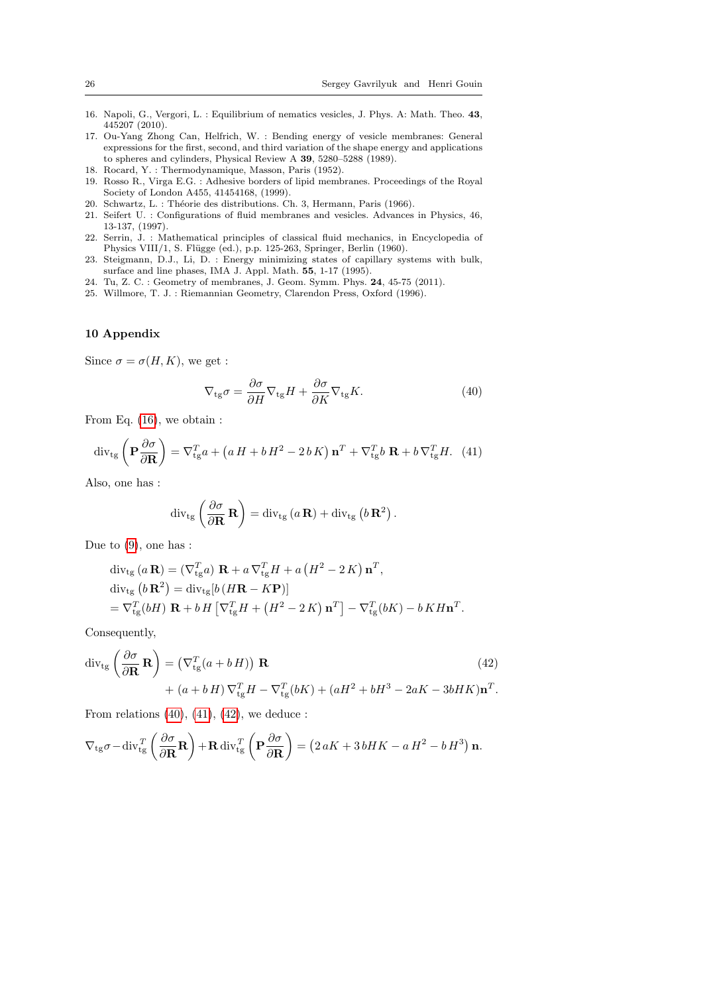- <span id="page-25-6"></span>16. Napoli, G., Vergori, L. : Equilibrium of nematics vesicles, J. Phys. A: Math. Theo. 43, 445207 (2010).
- <span id="page-25-7"></span>17. Ou-Yang Zhong Can, Helfrich, W. : Bending energy of vesicle membranes: General expressions for the first, second, and third variation of the shape energy and applications to spheres and cylinders, Physical Review A 39, 5280–5288 (1989).
- <span id="page-25-1"></span>18. Rocard, Y. : Thermodynamique, Masson, Paris (1952).
- <span id="page-25-0"></span>19. Rosso R., Virga E.G. : Adhesive borders of lipid membranes. Proceedings of the Royal Society of London A455, 41454168, (1999).
- <span id="page-25-9"></span>20. Schwartz, L. : Théorie des distributions. Ch. 3, Hermann, Paris (1966).
- <span id="page-25-3"></span>21. Seifert U. : Configurations of fluid membranes and vesicles. Advances in Physics, 46, 13-137, (1997).
- <span id="page-25-8"></span>22. Serrin, J. : Mathematical principles of classical fluid mechanics, in Encyclopedia of Physics VIII/1, S. Flügge (ed.), p.p. 125-263, Springer, Berlin (1960).
- <span id="page-25-2"></span>23. Steigmann, D.J., Li, D. : Energy minimizing states of capillary systems with bulk, surface and line phases, IMA J. Appl. Math. 55, 1-17 (1995).
- <span id="page-25-4"></span>24. Tu, Z. C. : Geometry of membranes, J. Geom. Symm. Phys. 24, 45-75 (2011).
- <span id="page-25-5"></span>25. Willmore, T. J. : Riemannian Geometry, Clarendon Press, Oxford (1996).

### 10 Appendix

Since  $\sigma = \sigma(H, K)$ , we get :

<span id="page-25-10"></span>
$$
\nabla_{\rm tg}\sigma = \frac{\partial \sigma}{\partial H} \nabla_{\rm tg} H + \frac{\partial \sigma}{\partial K} \nabla_{\rm tg} K. \tag{40}
$$

From Eq. [\(16\)](#page-10-2), we obtain :

<span id="page-25-11"></span>
$$
\operatorname{div}_{\operatorname{tg}}\left(\mathbf{P}\frac{\partial\sigma}{\partial\mathbf{R}}\right) = \nabla_{\operatorname{tg}}^T a + \left(a\,H + b\,H^2 - 2\,b\,K\right)\mathbf{n}^T + \nabla_{\operatorname{tg}}^T b\,\mathbf{R} + b\,\nabla_{\operatorname{tg}}^T H.\tag{41}
$$

Also, one has :

$$
\operatorname{div}_{\operatorname{tg}}\left(\frac{\partial\sigma}{\partial\mathbf{R}}\,\mathbf{R}\right)=\operatorname{div}_{\operatorname{tg}}\left(a\,\mathbf{R}\right)+\operatorname{div}_{\operatorname{tg}}\left(b\,\mathbf{R}^2\right).
$$

Due to [\(9\)](#page-4-0), one has :

$$
\begin{split} &\operatorname{div}_{\text{tg}}\left(a\,\mathbf{R}\right)=\left(\nabla_{\text{tg}}^{T}a\right)\,\mathbf{R}+a\,\nabla_{\text{tg}}^{T}H+a\left(H^{2}-2\,K\right)\mathbf{n}^{T},\\ &\operatorname{div}_{\text{tg}}\left(b\,\mathbf{R}^{2}\right)=\operatorname{div}_{\text{tg}}\!\left[b\left(H\mathbf{R}-K\mathbf{P}\right)\right] \\ &=\nabla_{\text{tg}}^{T}\!\left(bH\right)\,\mathbf{R}+b\,H\left[\nabla_{\text{tg}}^{T}H+\left(H^{2}-2\,K\right)\mathbf{n}^{T}\right]-\nabla_{\text{tg}}^{T}\!\left(bK\right)-b\,K\,H\mathbf{n}^{T}.\end{split}
$$

Consequently,

<span id="page-25-12"></span>
$$
\operatorname{div}_{\operatorname{tg}}\left(\frac{\partial\sigma}{\partial\mathbf{R}}\mathbf{R}\right) = \left(\nabla_{\operatorname{tg}}^T(a+b\,H)\right)\mathbf{R} \tag{42}
$$
\n
$$
+ (a+b\,H)\nabla_{\operatorname{tg}}^TH - \nabla_{\operatorname{tg}}^T(bK) + (aH^2 + bH^3 - 2aK - 3bHK)\mathbf{n}^T.
$$

From relations  $(40)$ ,  $(41)$ ,  $(42)$ , we deduce :

$$
\nabla_{\rm tg}\sigma - \text{div}_{\rm tg}^T \left( \frac{\partial \sigma}{\partial \mathbf{R}} \mathbf{R} \right) + \mathbf{R} \, \text{div}_{\rm tg}^T \left( \mathbf{P} \frac{\partial \sigma}{\partial \mathbf{R}} \right) = \left( 2 \, aK + 3 \, bHK - a \, H^2 - b \, H^3 \right) \mathbf{n}.
$$